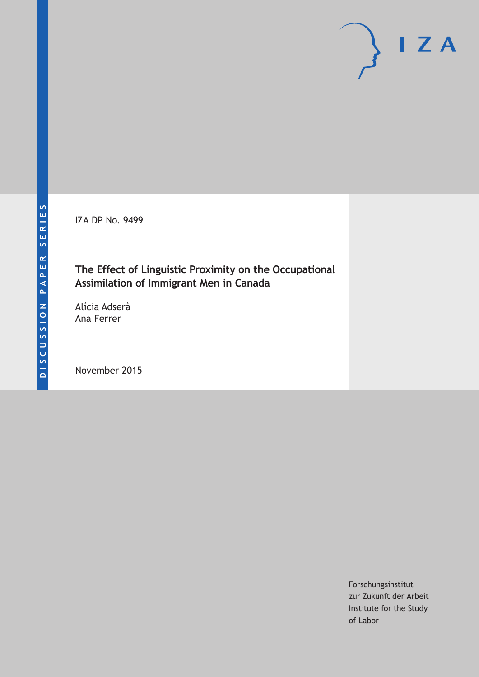IZA DP No. 9499

### **The Effect of Linguistic Proximity on the Occupational Assimilation of Immigrant Men in Canada**

Alícia Adserà Ana Ferrer

November 2015

Forschungsinstitut zur Zukunft der Arbeit Institute for the Study of Labor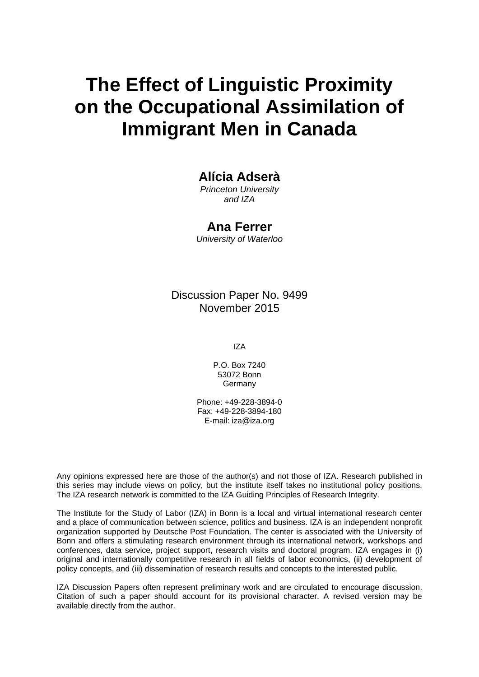# **The Effect of Linguistic Proximity on the Occupational Assimilation of Immigrant Men in Canada**

### **Alícia Adserà**

*Princeton University and IZA* 

### **Ana Ferrer**

*University of Waterloo* 

Discussion Paper No. 9499 November 2015

IZA

P.O. Box 7240 53072 Bonn **Germany** 

Phone: +49-228-3894-0 Fax: +49-228-3894-180 E-mail: iza@iza.org

Any opinions expressed here are those of the author(s) and not those of IZA. Research published in this series may include views on policy, but the institute itself takes no institutional policy positions. The IZA research network is committed to the IZA Guiding Principles of Research Integrity.

The Institute for the Study of Labor (IZA) in Bonn is a local and virtual international research center and a place of communication between science, politics and business. IZA is an independent nonprofit organization supported by Deutsche Post Foundation. The center is associated with the University of Bonn and offers a stimulating research environment through its international network, workshops and conferences, data service, project support, research visits and doctoral program. IZA engages in (i) original and internationally competitive research in all fields of labor economics, (ii) development of policy concepts, and (iii) dissemination of research results and concepts to the interested public.

IZA Discussion Papers often represent preliminary work and are circulated to encourage discussion. Citation of such a paper should account for its provisional character. A revised version may be available directly from the author.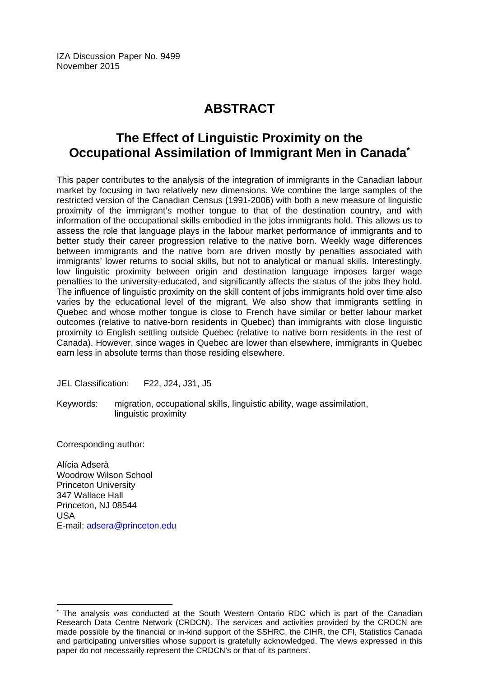IZA Discussion Paper No. 9499 November 2015

## **ABSTRACT**

### **The Effect of Linguistic Proximity on the Occupational Assimilation of Immigrant Men in Canada\***

This paper contributes to the analysis of the integration of immigrants in the Canadian labour market by focusing in two relatively new dimensions. We combine the large samples of the restricted version of the Canadian Census (1991-2006) with both a new measure of linguistic proximity of the immigrant's mother tongue to that of the destination country, and with information of the occupational skills embodied in the jobs immigrants hold. This allows us to assess the role that language plays in the labour market performance of immigrants and to better study their career progression relative to the native born. Weekly wage differences between immigrants and the native born are driven mostly by penalties associated with immigrants' lower returns to social skills, but not to analytical or manual skills. Interestingly, low linguistic proximity between origin and destination language imposes larger wage penalties to the university-educated, and significantly affects the status of the jobs they hold. The influence of linguistic proximity on the skill content of jobs immigrants hold over time also varies by the educational level of the migrant. We also show that immigrants settling in Quebec and whose mother tongue is close to French have similar or better labour market outcomes (relative to native-born residents in Quebec) than immigrants with close linguistic proximity to English settling outside Quebec (relative to native born residents in the rest of Canada). However, since wages in Quebec are lower than elsewhere, immigrants in Quebec earn less in absolute terms than those residing elsewhere.

JEL Classification: F22, J24, J31, J5

Keywords: migration, occupational skills, linguistic ability, wage assimilation, linguistic proximity

Corresponding author:

 $\overline{a}$ 

Alícia Adserà Woodrow Wilson School Princeton University 347 Wallace Hall Princeton, NJ 08544 USA E-mail: adsera@princeton.edu

<sup>\*</sup> The analysis was conducted at the South Western Ontario RDC which is part of the Canadian Research Data Centre Network (CRDCN). The services and activities provided by the CRDCN are made possible by the financial or in-kind support of the SSHRC, the CIHR, the CFI, Statistics Canada and participating universities whose support is gratefully acknowledged. The views expressed in this paper do not necessarily represent the CRDCN's or that of its partners'.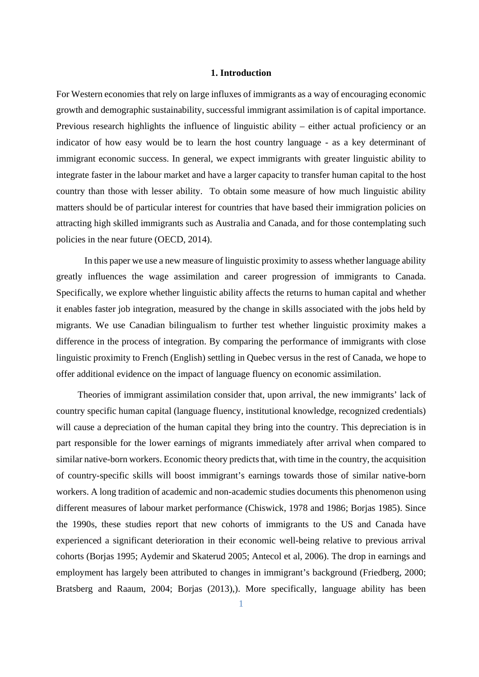#### **1. Introduction**

For Western economies that rely on large influxes of immigrants as a way of encouraging economic growth and demographic sustainability, successful immigrant assimilation is of capital importance. Previous research highlights the influence of linguistic ability – either actual proficiency or an indicator of how easy would be to learn the host country language - as a key determinant of immigrant economic success. In general, we expect immigrants with greater linguistic ability to integrate faster in the labour market and have a larger capacity to transfer human capital to the host country than those with lesser ability. To obtain some measure of how much linguistic ability matters should be of particular interest for countries that have based their immigration policies on attracting high skilled immigrants such as Australia and Canada, and for those contemplating such policies in the near future (OECD, 2014).

In this paper we use a new measure of linguistic proximity to assess whether language ability greatly influences the wage assimilation and career progression of immigrants to Canada. Specifically, we explore whether linguistic ability affects the returns to human capital and whether it enables faster job integration, measured by the change in skills associated with the jobs held by migrants. We use Canadian bilingualism to further test whether linguistic proximity makes a difference in the process of integration. By comparing the performance of immigrants with close linguistic proximity to French (English) settling in Quebec versus in the rest of Canada, we hope to offer additional evidence on the impact of language fluency on economic assimilation.

Theories of immigrant assimilation consider that, upon arrival, the new immigrants' lack of country specific human capital (language fluency, institutional knowledge, recognized credentials) will cause a depreciation of the human capital they bring into the country. This depreciation is in part responsible for the lower earnings of migrants immediately after arrival when compared to similar native-born workers. Economic theory predicts that, with time in the country, the acquisition of country-specific skills will boost immigrant's earnings towards those of similar native-born workers. A long tradition of academic and non-academic studies documents this phenomenon using different measures of labour market performance (Chiswick, 1978 and 1986; Borjas 1985). Since the 1990s, these studies report that new cohorts of immigrants to the US and Canada have experienced a significant deterioration in their economic well-being relative to previous arrival cohorts (Borjas 1995; Aydemir and Skaterud 2005; Antecol et al, 2006). The drop in earnings and employment has largely been attributed to changes in immigrant's background (Friedberg, 2000; Bratsberg and Raaum, 2004; Borjas (2013),). More specifically, language ability has been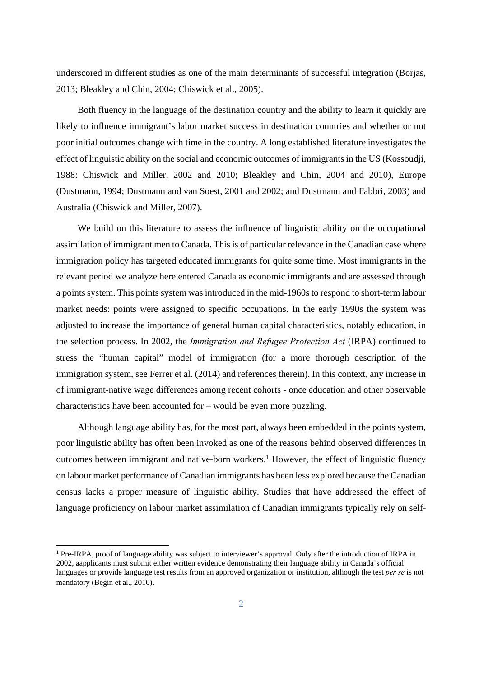underscored in different studies as one of the main determinants of successful integration (Borjas, 2013; Bleakley and Chin, 2004; Chiswick et al., 2005).

Both fluency in the language of the destination country and the ability to learn it quickly are likely to influence immigrant's labor market success in destination countries and whether or not poor initial outcomes change with time in the country. A long established literature investigates the effect of linguistic ability on the social and economic outcomes of immigrants in the US (Kossoudji, 1988: Chiswick and Miller, 2002 and 2010; Bleakley and Chin, 2004 and 2010), Europe (Dustmann, 1994; Dustmann and van Soest, 2001 and 2002; and Dustmann and Fabbri, 2003) and Australia (Chiswick and Miller, 2007).

We build on this literature to assess the influence of linguistic ability on the occupational assimilation of immigrant men to Canada. This is of particular relevance in the Canadian case where immigration policy has targeted educated immigrants for quite some time. Most immigrants in the relevant period we analyze here entered Canada as economic immigrants and are assessed through a points system. This points system was introduced in the mid-1960s to respond to short-term labour market needs: points were assigned to specific occupations. In the early 1990s the system was adjusted to increase the importance of general human capital characteristics, notably education, in the selection process. In 2002, the *Immigration and Refugee Protection Act* (IRPA) continued to stress the "human capital" model of immigration (for a more thorough description of the immigration system, see Ferrer et al. (2014) and references therein). In this context, any increase in of immigrant-native wage differences among recent cohorts - once education and other observable characteristics have been accounted for – would be even more puzzling.

Although language ability has, for the most part, always been embedded in the points system, poor linguistic ability has often been invoked as one of the reasons behind observed differences in outcomes between immigrant and native-born workers.<sup>1</sup> However, the effect of linguistic fluency on labour market performance of Canadian immigrants has been less explored because the Canadian census lacks a proper measure of linguistic ability. Studies that have addressed the effect of language proficiency on labour market assimilation of Canadian immigrants typically rely on self-

<sup>&</sup>lt;sup>1</sup> Pre-IRPA, proof of language ability was subject to interviewer's approval. Only after the introduction of IRPA in 2002, aapplicants must submit either written evidence demonstrating their language ability in Canada's official languages or provide language test results from an approved organization or institution, although the test *per se* is not mandatory (Begin et al., 2010).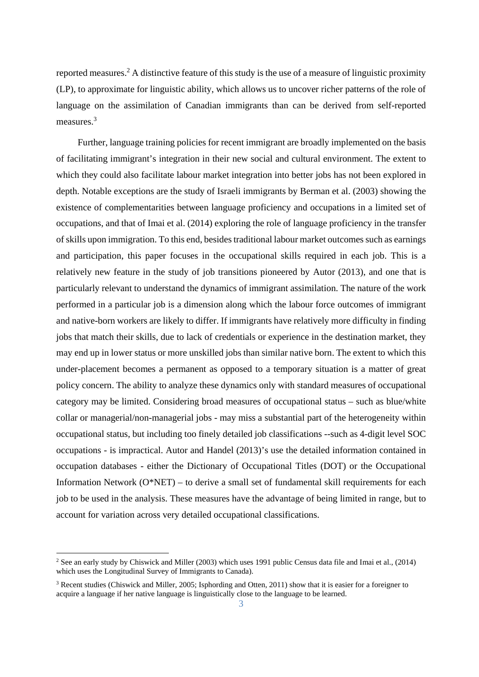reported measures.<sup>2</sup> A distinctive feature of this study is the use of a measure of linguistic proximity (LP), to approximate for linguistic ability, which allows us to uncover richer patterns of the role of language on the assimilation of Canadian immigrants than can be derived from self-reported measures.<sup>3</sup>

Further, language training policies for recent immigrant are broadly implemented on the basis of facilitating immigrant's integration in their new social and cultural environment. The extent to which they could also facilitate labour market integration into better jobs has not been explored in depth. Notable exceptions are the study of Israeli immigrants by Berman et al. (2003) showing the existence of complementarities between language proficiency and occupations in a limited set of occupations, and that of Imai et al. (2014) exploring the role of language proficiency in the transfer of skills upon immigration. To this end, besides traditional labour market outcomes such as earnings and participation, this paper focuses in the occupational skills required in each job. This is a relatively new feature in the study of job transitions pioneered by Autor (2013), and one that is particularly relevant to understand the dynamics of immigrant assimilation. The nature of the work performed in a particular job is a dimension along which the labour force outcomes of immigrant and native-born workers are likely to differ. If immigrants have relatively more difficulty in finding jobs that match their skills, due to lack of credentials or experience in the destination market, they may end up in lower status or more unskilled jobs than similar native born. The extent to which this under-placement becomes a permanent as opposed to a temporary situation is a matter of great policy concern. The ability to analyze these dynamics only with standard measures of occupational category may be limited. Considering broad measures of occupational status – such as blue/white collar or managerial/non-managerial jobs - may miss a substantial part of the heterogeneity within occupational status, but including too finely detailed job classifications --such as 4-digit level SOC occupations - is impractical. Autor and Handel (2013)'s use the detailed information contained in occupation databases - either the Dictionary of Occupational Titles (DOT) or the Occupational Information Network (O\*NET) – to derive a small set of fundamental skill requirements for each job to be used in the analysis. These measures have the advantage of being limited in range, but to account for variation across very detailed occupational classifications.

<sup>&</sup>lt;sup>2</sup> See an early study by Chiswick and Miller (2003) which uses 1991 public Census data file and Imai et al., (2014) which uses the Longitudinal Survey of Immigrants to Canada).

<sup>&</sup>lt;sup>3</sup> Recent studies (Chiswick and Miller, 2005; Isphording and Otten, 2011) show that it is easier for a foreigner to acquire a language if her native language is linguistically close to the language to be learned.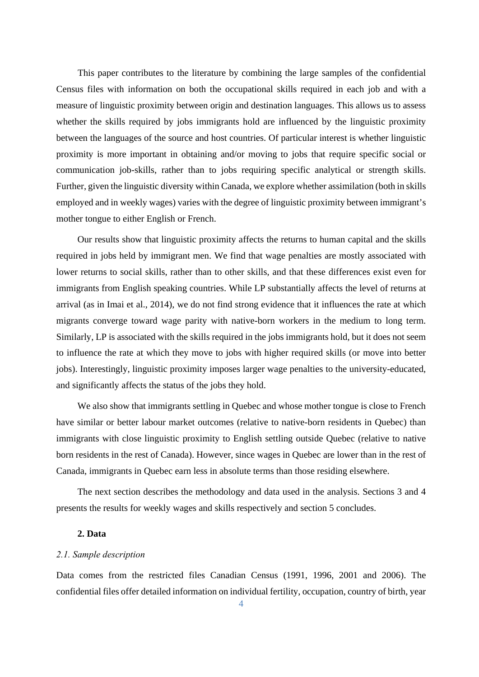This paper contributes to the literature by combining the large samples of the confidential Census files with information on both the occupational skills required in each job and with a measure of linguistic proximity between origin and destination languages. This allows us to assess whether the skills required by jobs immigrants hold are influenced by the linguistic proximity between the languages of the source and host countries. Of particular interest is whether linguistic proximity is more important in obtaining and/or moving to jobs that require specific social or communication job-skills, rather than to jobs requiring specific analytical or strength skills. Further, given the linguistic diversity within Canada, we explore whether assimilation (both in skills employed and in weekly wages) varies with the degree of linguistic proximity between immigrant's mother tongue to either English or French.

Our results show that linguistic proximity affects the returns to human capital and the skills required in jobs held by immigrant men. We find that wage penalties are mostly associated with lower returns to social skills, rather than to other skills, and that these differences exist even for immigrants from English speaking countries. While LP substantially affects the level of returns at arrival (as in Imai et al., 2014), we do not find strong evidence that it influences the rate at which migrants converge toward wage parity with native-born workers in the medium to long term. Similarly, LP is associated with the skills required in the jobs immigrants hold, but it does not seem to influence the rate at which they move to jobs with higher required skills (or move into better jobs). Interestingly, linguistic proximity imposes larger wage penalties to the university-educated, and significantly affects the status of the jobs they hold.

We also show that immigrants settling in Quebec and whose mother tongue is close to French have similar or better labour market outcomes (relative to native-born residents in Quebec) than immigrants with close linguistic proximity to English settling outside Quebec (relative to native born residents in the rest of Canada). However, since wages in Quebec are lower than in the rest of Canada, immigrants in Quebec earn less in absolute terms than those residing elsewhere.

The next section describes the methodology and data used in the analysis. Sections 3 and 4 presents the results for weekly wages and skills respectively and section 5 concludes.

#### **2. Data**

#### *2.1. Sample description*

Data comes from the restricted files Canadian Census (1991, 1996, 2001 and 2006). The confidential files offer detailed information on individual fertility, occupation, country of birth, year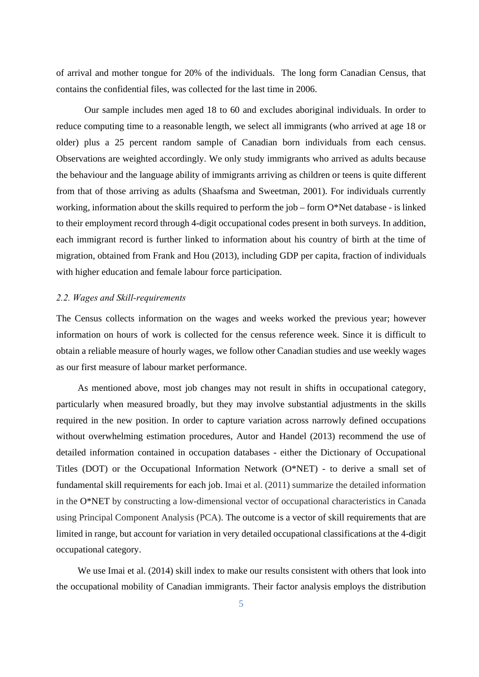of arrival and mother tongue for 20% of the individuals. The long form Canadian Census, that contains the confidential files, was collected for the last time in 2006.

Our sample includes men aged 18 to 60 and excludes aboriginal individuals. In order to reduce computing time to a reasonable length, we select all immigrants (who arrived at age 18 or older) plus a 25 percent random sample of Canadian born individuals from each census. Observations are weighted accordingly. We only study immigrants who arrived as adults because the behaviour and the language ability of immigrants arriving as children or teens is quite different from that of those arriving as adults (Shaafsma and Sweetman, 2001). For individuals currently working, information about the skills required to perform the job – form  $O^*$ Net database - is linked to their employment record through 4-digit occupational codes present in both surveys. In addition, each immigrant record is further linked to information about his country of birth at the time of migration, obtained from Frank and Hou (2013), including GDP per capita, fraction of individuals with higher education and female labour force participation.

#### *2.2. Wages and Skill-requirements*

The Census collects information on the wages and weeks worked the previous year; however information on hours of work is collected for the census reference week. Since it is difficult to obtain a reliable measure of hourly wages, we follow other Canadian studies and use weekly wages as our first measure of labour market performance.

As mentioned above, most job changes may not result in shifts in occupational category, particularly when measured broadly, but they may involve substantial adjustments in the skills required in the new position. In order to capture variation across narrowly defined occupations without overwhelming estimation procedures, Autor and Handel (2013) recommend the use of detailed information contained in occupation databases - either the Dictionary of Occupational Titles (DOT) or the Occupational Information Network (O\*NET) - to derive a small set of fundamental skill requirements for each job. Imai et al. (2011) summarize the detailed information in the O\*NET by constructing a low-dimensional vector of occupational characteristics in Canada using Principal Component Analysis (PCA). The outcome is a vector of skill requirements that are limited in range, but account for variation in very detailed occupational classifications at the 4-digit occupational category.

We use Imai et al. (2014) skill index to make our results consistent with others that look into the occupational mobility of Canadian immigrants. Their factor analysis employs the distribution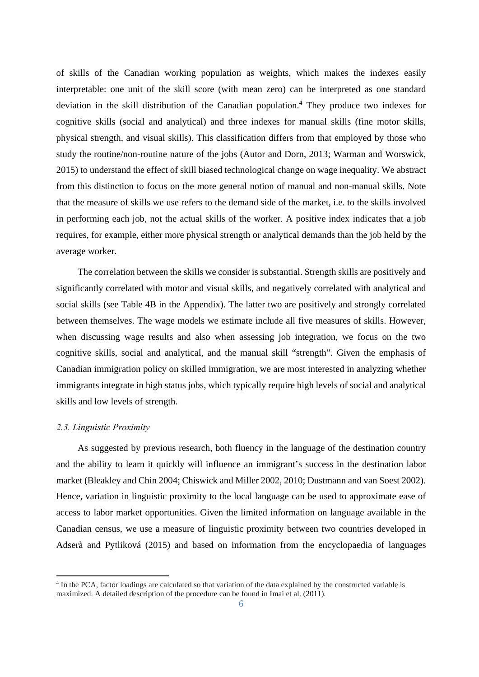of skills of the Canadian working population as weights, which makes the indexes easily interpretable: one unit of the skill score (with mean zero) can be interpreted as one standard deviation in the skill distribution of the Canadian population.<sup>4</sup> They produce two indexes for cognitive skills (social and analytical) and three indexes for manual skills (fine motor skills, physical strength, and visual skills). This classification differs from that employed by those who study the routine/non-routine nature of the jobs (Autor and Dorn, 2013; Warman and Worswick, 2015) to understand the effect of skill biased technological change on wage inequality. We abstract from this distinction to focus on the more general notion of manual and non-manual skills. Note that the measure of skills we use refers to the demand side of the market, i.e. to the skills involved in performing each job, not the actual skills of the worker. A positive index indicates that a job requires, for example, either more physical strength or analytical demands than the job held by the average worker.

The correlation between the skills we consider is substantial. Strength skills are positively and significantly correlated with motor and visual skills, and negatively correlated with analytical and social skills (see Table 4B in the Appendix). The latter two are positively and strongly correlated between themselves. The wage models we estimate include all five measures of skills. However, when discussing wage results and also when assessing job integration, we focus on the two cognitive skills, social and analytical, and the manual skill "strength". Given the emphasis of Canadian immigration policy on skilled immigration, we are most interested in analyzing whether immigrants integrate in high status jobs, which typically require high levels of social and analytical skills and low levels of strength.

#### *2.3. Linguistic Proximity*

1

As suggested by previous research, both fluency in the language of the destination country and the ability to learn it quickly will influence an immigrant's success in the destination labor market (Bleakley and Chin 2004; Chiswick and Miller 2002, 2010; Dustmann and van Soest 2002). Hence, variation in linguistic proximity to the local language can be used to approximate ease of access to labor market opportunities. Given the limited information on language available in the Canadian census, we use a measure of linguistic proximity between two countries developed in Adserà and Pytliková (2015) and based on information from the encyclopaedia of languages

<sup>&</sup>lt;sup>4</sup> In the PCA, factor loadings are calculated so that variation of the data explained by the constructed variable is maximized. A detailed description of the procedure can be found in Imai et al. (2011).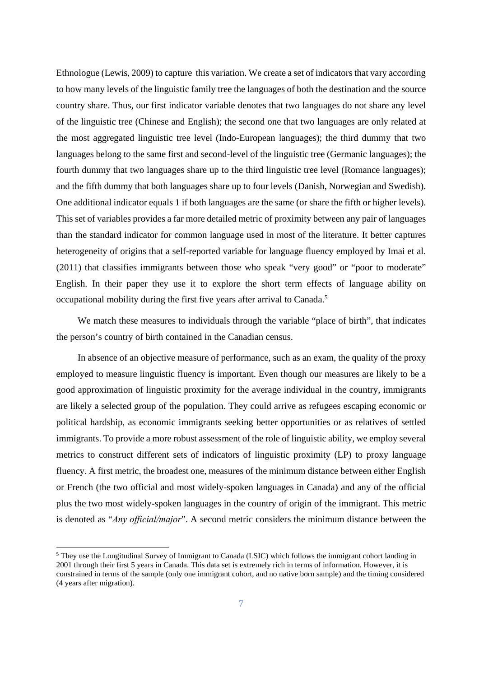Ethnologue (Lewis, 2009) to capture this variation. We create a set of indicators that vary according to how many levels of the linguistic family tree the languages of both the destination and the source country share. Thus, our first indicator variable denotes that two languages do not share any level of the linguistic tree (Chinese and English); the second one that two languages are only related at the most aggregated linguistic tree level (Indo-European languages); the third dummy that two languages belong to the same first and second-level of the linguistic tree (Germanic languages); the fourth dummy that two languages share up to the third linguistic tree level (Romance languages); and the fifth dummy that both languages share up to four levels (Danish, Norwegian and Swedish). One additional indicator equals 1 if both languages are the same (or share the fifth or higher levels). This set of variables provides a far more detailed metric of proximity between any pair of languages than the standard indicator for common language used in most of the literature. It better captures heterogeneity of origins that a self-reported variable for language fluency employed by Imai et al. (2011) that classifies immigrants between those who speak "very good" or "poor to moderate" English. In their paper they use it to explore the short term effects of language ability on occupational mobility during the first five years after arrival to Canada.<sup>5</sup>

We match these measures to individuals through the variable "place of birth", that indicates the person's country of birth contained in the Canadian census.

In absence of an objective measure of performance, such as an exam, the quality of the proxy employed to measure linguistic fluency is important. Even though our measures are likely to be a good approximation of linguistic proximity for the average individual in the country, immigrants are likely a selected group of the population. They could arrive as refugees escaping economic or political hardship, as economic immigrants seeking better opportunities or as relatives of settled immigrants. To provide a more robust assessment of the role of linguistic ability, we employ several metrics to construct different sets of indicators of linguistic proximity (LP) to proxy language fluency. A first metric, the broadest one, measures of the minimum distance between either English or French (the two official and most widely-spoken languages in Canada) and any of the official plus the two most widely-spoken languages in the country of origin of the immigrant. This metric is denoted as "*Any official/major*". A second metric considers the minimum distance between the

<sup>&</sup>lt;sup>5</sup> They use the Longitudinal Survey of Immigrant to Canada (LSIC) which follows the immigrant cohort landing in 2001 through their first 5 years in Canada. This data set is extremely rich in terms of information. However, it is constrained in terms of the sample (only one immigrant cohort, and no native born sample) and the timing considered (4 years after migration).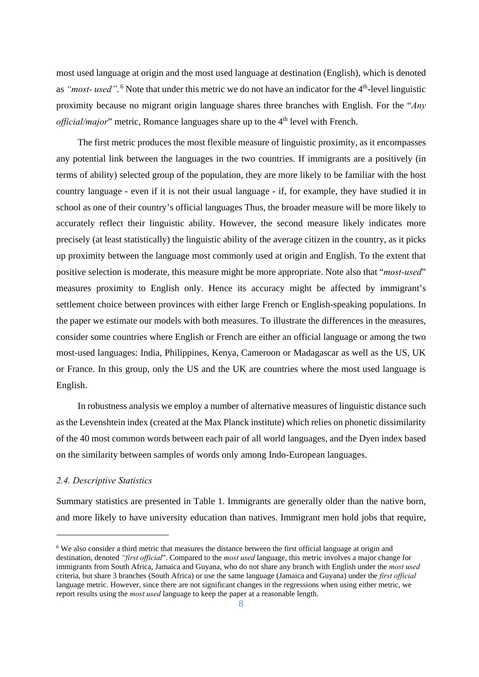most used language at origin and the most used language at destination (English), which is denoted as "most- used".<sup>6</sup> Note that under this metric we do not have an indicator for the 4<sup>th</sup>-level linguistic proximity because no migrant origin language shares three branches with English. For the "*Any official/major*" metric, Romance languages share up to the 4<sup>th</sup> level with French.

The first metric produces the most flexible measure of linguistic proximity, as it encompasses any potential link between the languages in the two countries. If immigrants are a positively (in terms of ability) selected group of the population, they are more likely to be familiar with the host country language - even if it is not their usual language - if, for example, they have studied it in school as one of their country's official languages Thus, the broader measure will be more likely to accurately reflect their linguistic ability. However, the second measure likely indicates more precisely (at least statistically) the linguistic ability of the average citizen in the country, as it picks up proximity between the language most commonly used at origin and English. To the extent that positive selection is moderate, this measure might be more appropriate. Note also that "*most-used*" measures proximity to English only. Hence its accuracy might be affected by immigrant's settlement choice between provinces with either large French or English-speaking populations. In the paper we estimate our models with both measures. To illustrate the differences in the measures, consider some countries where English or French are either an official language or among the two most-used languages: India, Philippines, Kenya, Cameroon or Madagascar as well as the US, UK or France. In this group, only the US and the UK are countries where the most used language is English.

In robustness analysis we employ a number of alternative measures of linguistic distance such as the Levenshtein index (created at the Max Planck institute) which relies on phonetic dissimilarity of the 40 most common words between each pair of all world languages, and the Dyen index based on the similarity between samples of words only among Indo-European languages.

#### *2.4. Descriptive Statistics*

-

Summary statistics are presented in Table 1. Immigrants are generally older than the native born, and more likely to have university education than natives. Immigrant men hold jobs that require,

<sup>&</sup>lt;sup>6</sup> We also consider a third metric that measures the distance between the first official language at origin and destination, denoted *"first official*". Compared to the *most used* language, this metric involves a major change for immigrants from South Africa, Jamaica and Guyana, who do not share any branch with English under the *most used* criteria, but share 3 branches (South Africa) or use the same language (Jamaica and Guyana) under the *first official* language metric. However, since there are not significant changes in the regressions when using either metric, we report results using the *most used* language to keep the paper at a reasonable length.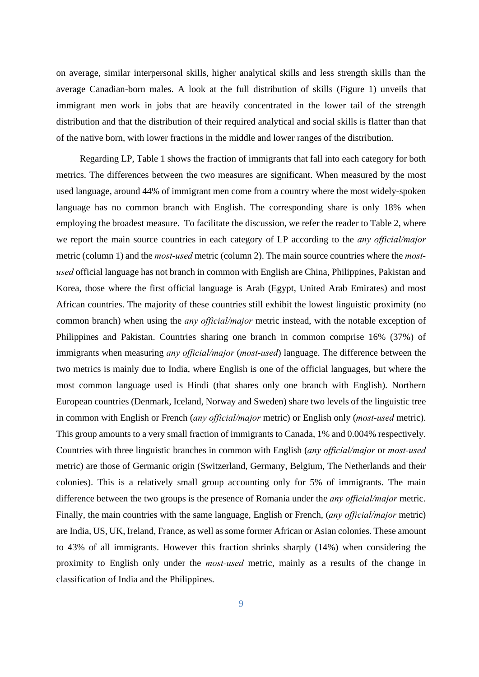on average, similar interpersonal skills, higher analytical skills and less strength skills than the average Canadian-born males. A look at the full distribution of skills (Figure 1) unveils that immigrant men work in jobs that are heavily concentrated in the lower tail of the strength distribution and that the distribution of their required analytical and social skills is flatter than that of the native born, with lower fractions in the middle and lower ranges of the distribution.

 Regarding LP, Table 1 shows the fraction of immigrants that fall into each category for both metrics. The differences between the two measures are significant. When measured by the most used language, around 44% of immigrant men come from a country where the most widely-spoken language has no common branch with English. The corresponding share is only 18% when employing the broadest measure. To facilitate the discussion, we refer the reader to Table 2, where we report the main source countries in each category of LP according to the *any official/major* metric (column 1) and the *most-used* metric (column 2). The main source countries where the *mostused* official language has not branch in common with English are China, Philippines, Pakistan and Korea, those where the first official language is Arab (Egypt, United Arab Emirates) and most African countries. The majority of these countries still exhibit the lowest linguistic proximity (no common branch) when using the *any official/major* metric instead, with the notable exception of Philippines and Pakistan. Countries sharing one branch in common comprise 16% (37%) of immigrants when measuring *any official/major* (*most-used*) language. The difference between the two metrics is mainly due to India, where English is one of the official languages, but where the most common language used is Hindi (that shares only one branch with English). Northern European countries (Denmark, Iceland, Norway and Sweden) share two levels of the linguistic tree in common with English or French (*any official/major* metric) or English only (*most-used* metric). This group amounts to a very small fraction of immigrants to Canada, 1% and 0.004% respectively. Countries with three linguistic branches in common with English (*any official/major* or *most-used* metric) are those of Germanic origin (Switzerland, Germany, Belgium, The Netherlands and their colonies). This is a relatively small group accounting only for 5% of immigrants. The main difference between the two groups is the presence of Romania under the *any official/major* metric. Finally, the main countries with the same language, English or French, (*any official/major* metric) are India, US, UK, Ireland, France, as well as some former African or Asian colonies. These amount to 43% of all immigrants. However this fraction shrinks sharply (14%) when considering the proximity to English only under the *most-used* metric, mainly as a results of the change in classification of India and the Philippines.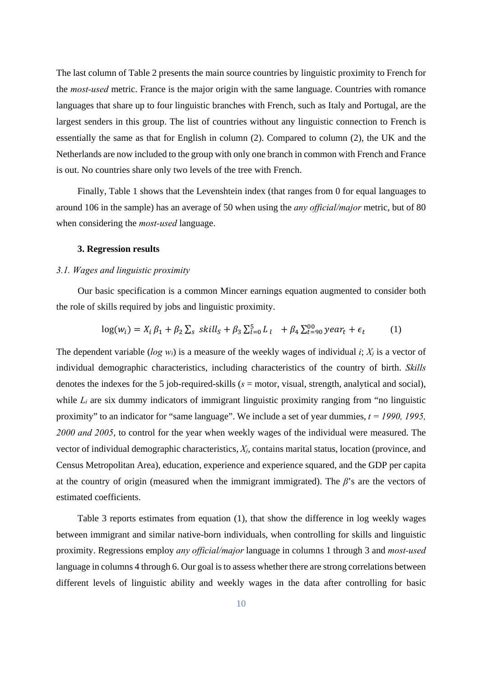The last column of Table 2 presents the main source countries by linguistic proximity to French for the *most-used* metric. France is the major origin with the same language. Countries with romance languages that share up to four linguistic branches with French, such as Italy and Portugal, are the largest senders in this group. The list of countries without any linguistic connection to French is essentially the same as that for English in column (2). Compared to column (2), the UK and the Netherlands are now included to the group with only one branch in common with French and France is out. No countries share only two levels of the tree with French.

Finally, Table 1 shows that the Levenshtein index (that ranges from 0 for equal languages to around 106 in the sample) has an average of 50 when using the *any official/major* metric, but of 80 when considering the *most-used* language.

#### **3. Regression results**

#### *3.1. Wages and linguistic proximity*

Our basic specification is a common Mincer earnings equation augmented to consider both the role of skills required by jobs and linguistic proximity.

$$
\log(w_i) = X_i \beta_1 + \beta_2 \sum_s \ skill_s + \beta_3 \sum_{l=0}^5 L_l + \beta_4 \sum_{t=90}^{10} year_t + \epsilon_t \tag{1}
$$

The dependent variable (*log wi*) is a measure of the weekly wages of individual *i*; *Xj* is a vector of individual demographic characteristics, including characteristics of the country of birth. *Skills* denotes the indexes for the 5 job-required-skills (*s* = motor, visual, strength, analytical and social), while  $L_i$  are six dummy indicators of immigrant linguistic proximity ranging from "no linguistic proximity" to an indicator for "same language". We include a set of year dummies, *t = 1990, 1995, 2000 and 2005*, to control for the year when weekly wages of the individual were measured. The vector of individual demographic characteristics, *Xj*, contains marital status, location (province, and Census Metropolitan Area), education, experience and experience squared, and the GDP per capita at the country of origin (measured when the immigrant immigrated). The *β*'s are the vectors of estimated coefficients.

Table 3 reports estimates from equation (1), that show the difference in log weekly wages between immigrant and similar native-born individuals, when controlling for skills and linguistic proximity. Regressions employ *any official/major* language in columns 1 through 3 and *most-used*  language in columns 4 through 6. Our goal is to assess whether there are strong correlations between different levels of linguistic ability and weekly wages in the data after controlling for basic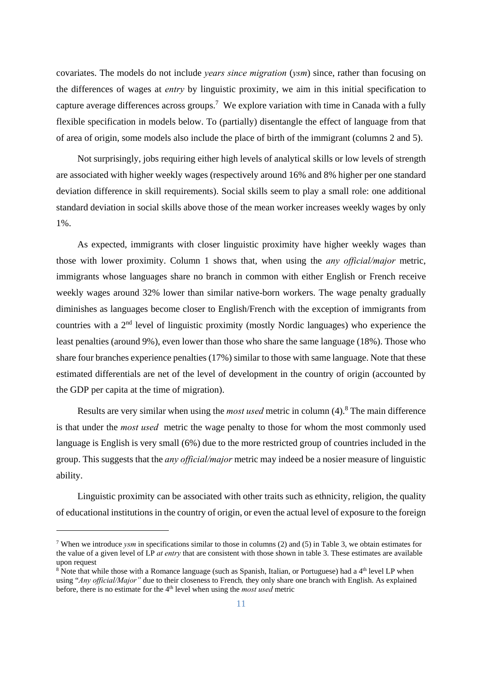covariates. The models do not include *years since migration* (*ysm*) since, rather than focusing on the differences of wages at *entry* by linguistic proximity, we aim in this initial specification to capture average differences across groups.<sup>7</sup> We explore variation with time in Canada with a fully flexible specification in models below. To (partially) disentangle the effect of language from that of area of origin, some models also include the place of birth of the immigrant (columns 2 and 5).

Not surprisingly, jobs requiring either high levels of analytical skills or low levels of strength are associated with higher weekly wages (respectively around 16% and 8% higher per one standard deviation difference in skill requirements). Social skills seem to play a small role: one additional standard deviation in social skills above those of the mean worker increases weekly wages by only 1%.

As expected, immigrants with closer linguistic proximity have higher weekly wages than those with lower proximity. Column 1 shows that, when using the *any official/major* metric, immigrants whose languages share no branch in common with either English or French receive weekly wages around 32% lower than similar native-born workers. The wage penalty gradually diminishes as languages become closer to English/French with the exception of immigrants from countries with a 2nd level of linguistic proximity (mostly Nordic languages) who experience the least penalties (around 9%), even lower than those who share the same language (18%). Those who share four branches experience penalties (17%) similar to those with same language. Note that these estimated differentials are net of the level of development in the country of origin (accounted by the GDP per capita at the time of migration).

Results are very similar when using the *most used* metric in column (4).<sup>8</sup> The main difference is that under the *most used* metric the wage penalty to those for whom the most commonly used language is English is very small (6%) due to the more restricted group of countries included in the group. This suggests that the *any official/major* metric may indeed be a nosier measure of linguistic ability.

Linguistic proximity can be associated with other traits such as ethnicity, religion, the quality of educational institutions in the country of origin, or even the actual level of exposure to the foreign

<sup>7</sup> When we introduce *ysm* in specifications similar to those in columns (2) and (5) in Table 3, we obtain estimates for the value of a given level of LP *at entry* that are consistent with those shown in table 3. These estimates are available upon request

 $8$  Note that while those with a Romance language (such as Spanish, Italian, or Portuguese) had a  $4<sup>th</sup>$  level LP when using "*Any official/Major"* due to their closeness to French*,* they only share one branch with English. As explained before, there is no estimate for the 4<sup>th</sup> level when using the *most used* metric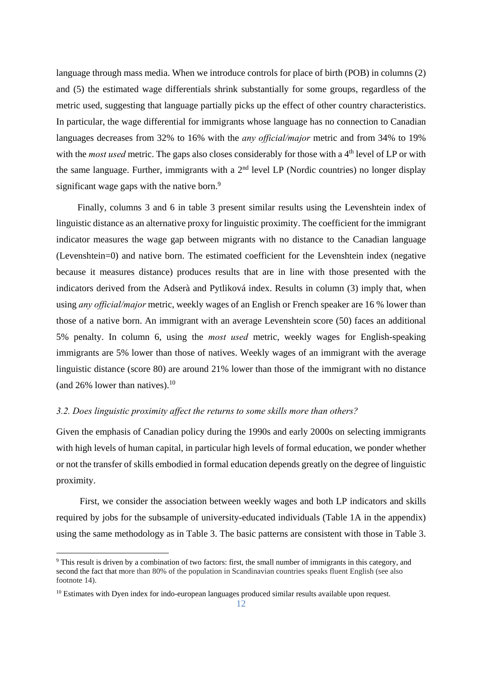language through mass media. When we introduce controls for place of birth (POB) in columns (2) and (5) the estimated wage differentials shrink substantially for some groups, regardless of the metric used, suggesting that language partially picks up the effect of other country characteristics. In particular, the wage differential for immigrants whose language has no connection to Canadian languages decreases from 32% to 16% with the *any official/major* metric and from 34% to 19% with the *most used* metric. The gaps also closes considerably for those with a 4<sup>th</sup> level of LP or with the same language. Further, immigrants with a  $2<sup>nd</sup>$  level LP (Nordic countries) no longer display significant wage gaps with the native born. $9$ 

Finally, columns 3 and 6 in table 3 present similar results using the Levenshtein index of linguistic distance as an alternative proxy for linguistic proximity. The coefficient for the immigrant indicator measures the wage gap between migrants with no distance to the Canadian language (Levenshtein=0) and native born. The estimated coefficient for the Levenshtein index (negative because it measures distance) produces results that are in line with those presented with the indicators derived from the Adserà and Pytliková index. Results in column (3) imply that, when using *any official/major* metric, weekly wages of an English or French speaker are 16 % lower than those of a native born. An immigrant with an average Levenshtein score (50) faces an additional 5% penalty. In column 6, using the *most used* metric, weekly wages for English-speaking immigrants are 5% lower than those of natives. Weekly wages of an immigrant with the average linguistic distance (score 80) are around 21% lower than those of the immigrant with no distance (and  $26\%$  lower than natives).<sup>10</sup>

#### *3.2. Does linguistic proximity affect the returns to some skills more than others?*

Given the emphasis of Canadian policy during the 1990s and early 2000s on selecting immigrants with high levels of human capital, in particular high levels of formal education, we ponder whether or not the transfer of skills embodied in formal education depends greatly on the degree of linguistic proximity.

 First, we consider the association between weekly wages and both LP indicators and skills required by jobs for the subsample of university-educated individuals (Table 1A in the appendix) using the same methodology as in Table 3. The basic patterns are consistent with those in Table 3.

<sup>9</sup> This result is driven by a combination of two factors: first, the small number of immigrants in this category, and second the fact that more than 80% of the population in Scandinavian countries speaks fluent English (see also footnote 14).

<sup>&</sup>lt;sup>10</sup> Estimates with Dyen index for indo-european languages produced similar results available upon request.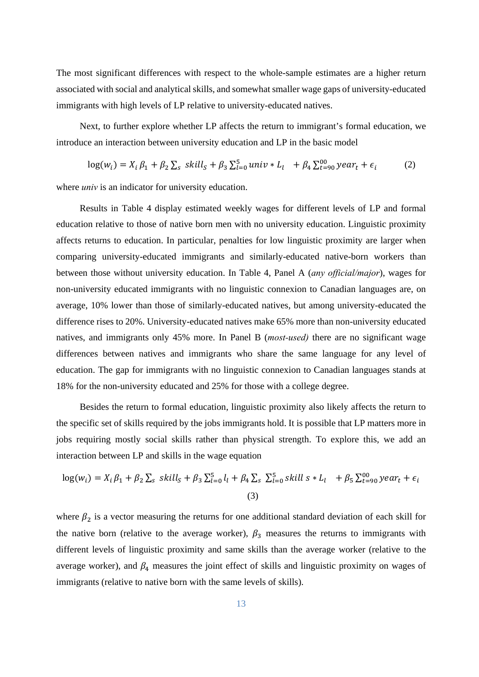The most significant differences with respect to the whole-sample estimates are a higher return associated with social and analytical skills, and somewhat smaller wage gaps of university-educated immigrants with high levels of LP relative to university-educated natives.

 Next, to further explore whether LP affects the return to immigrant's formal education, we introduce an interaction between university education and LP in the basic model

$$
\log(w_i) = X_i \beta_1 + \beta_2 \sum_s skill_s + \beta_3 \sum_{l=0}^5 univ * L_l + \beta_4 \sum_{t=90}^{10} year_t + \epsilon_i
$$
 (2)

where *univ* is an indicator for university education.

 Results in Table 4 display estimated weekly wages for different levels of LP and formal education relative to those of native born men with no university education. Linguistic proximity affects returns to education. In particular, penalties for low linguistic proximity are larger when comparing university-educated immigrants and similarly-educated native-born workers than between those without university education. In Table 4, Panel A (*any official/major*), wages for non-university educated immigrants with no linguistic connexion to Canadian languages are, on average, 10% lower than those of similarly-educated natives, but among university-educated the difference rises to 20%. University-educated natives make 65% more than non-university educated natives, and immigrants only 45% more. In Panel B (*most-used)* there are no significant wage differences between natives and immigrants who share the same language for any level of education. The gap for immigrants with no linguistic connexion to Canadian languages stands at 18% for the non-university educated and 25% for those with a college degree.

 Besides the return to formal education, linguistic proximity also likely affects the return to the specific set of skills required by the jobs immigrants hold. It is possible that LP matters more in jobs requiring mostly social skills rather than physical strength. To explore this, we add an interaction between LP and skills in the wage equation

$$
log(w_i) = X_i \beta_1 + \beta_2 \sum_s skill_s + \beta_3 \sum_{l=0}^5 l_l + \beta_4 \sum_s \sum_{l=0}^5 skill_s * L_l + \beta_5 \sum_{l=90}^{10} year_t + \epsilon_i
$$
\n(3)

where  $\beta_2$  is a vector measuring the returns for one additional standard deviation of each skill for the native born (relative to the average worker),  $\beta_3$  measures the returns to immigrants with different levels of linguistic proximity and same skills than the average worker (relative to the average worker), and  $\beta_4$  measures the joint effect of skills and linguistic proximity on wages of immigrants (relative to native born with the same levels of skills).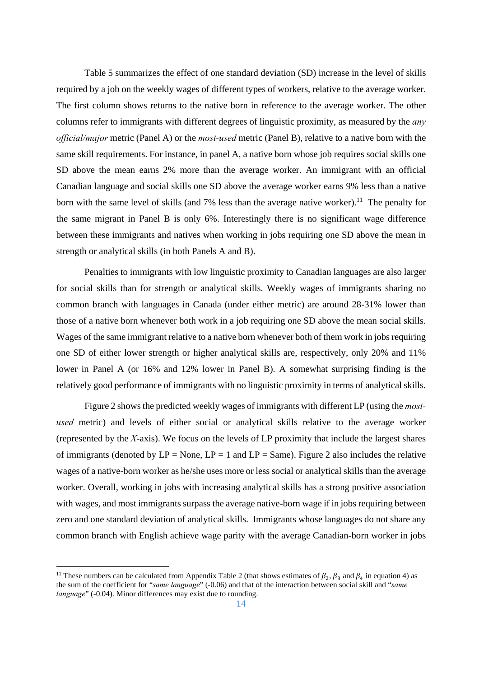Table 5 summarizes the effect of one standard deviation (SD) increase in the level of skills required by a job on the weekly wages of different types of workers, relative to the average worker. The first column shows returns to the native born in reference to the average worker. The other columns refer to immigrants with different degrees of linguistic proximity, as measured by the *any official/major* metric (Panel A) or the *most-used* metric (Panel B), relative to a native born with the same skill requirements. For instance, in panel A, a native born whose job requires social skills one SD above the mean earns 2% more than the average worker. An immigrant with an official Canadian language and social skills one SD above the average worker earns 9% less than a native born with the same level of skills (and 7% less than the average native worker).<sup>11</sup> The penalty for the same migrant in Panel B is only 6%. Interestingly there is no significant wage difference between these immigrants and natives when working in jobs requiring one SD above the mean in strength or analytical skills (in both Panels A and B).

 Penalties to immigrants with low linguistic proximity to Canadian languages are also larger for social skills than for strength or analytical skills. Weekly wages of immigrants sharing no common branch with languages in Canada (under either metric) are around 28-31% lower than those of a native born whenever both work in a job requiring one SD above the mean social skills. Wages of the same immigrant relative to a native born whenever both of them work in jobs requiring one SD of either lower strength or higher analytical skills are, respectively, only 20% and 11% lower in Panel A (or 16% and 12% lower in Panel B). A somewhat surprising finding is the relatively good performance of immigrants with no linguistic proximity in terms of analytical skills.

 Figure 2 shows the predicted weekly wages of immigrants with different LP (using the *mostused* metric) and levels of either social or analytical skills relative to the average worker (represented by the *X*-axis). We focus on the levels of LP proximity that include the largest shares of immigrants (denoted by  $LP = None$ ,  $LP = 1$  and  $LP = Same$ ). Figure 2 also includes the relative wages of a native-born worker as he/she uses more or less social or analytical skills than the average worker. Overall, working in jobs with increasing analytical skills has a strong positive association with wages, and most immigrants surpass the average native-born wage if in jobs requiring between zero and one standard deviation of analytical skills. Immigrants whose languages do not share any common branch with English achieve wage parity with the average Canadian-born worker in jobs

<sup>&</sup>lt;sup>11</sup> These numbers can be calculated from Appendix Table 2 (that shows estimates of  $\beta_2$ ,  $\beta_3$  and  $\beta_4$  in equation 4) as the sum of the coefficient for "*same language*" (-0.06) and that of the interaction between social skill and "*same language*" (-0.04). Minor differences may exist due to rounding.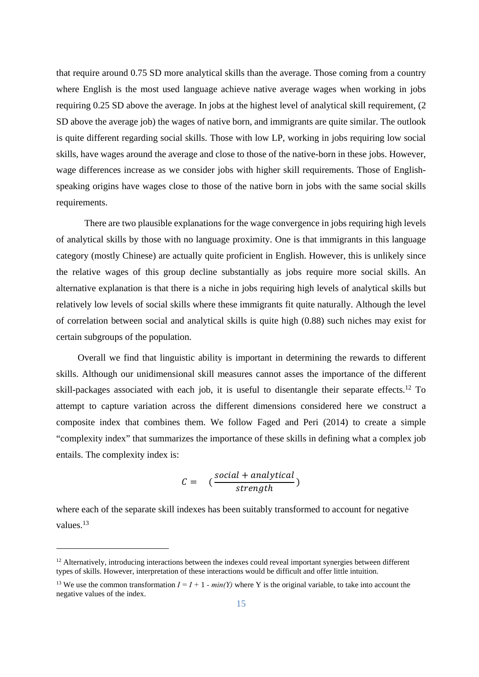that require around 0.75 SD more analytical skills than the average. Those coming from a country where English is the most used language achieve native average wages when working in jobs requiring 0.25 SD above the average. In jobs at the highest level of analytical skill requirement, (2 SD above the average job) the wages of native born, and immigrants are quite similar. The outlook is quite different regarding social skills. Those with low LP, working in jobs requiring low social skills, have wages around the average and close to those of the native-born in these jobs. However, wage differences increase as we consider jobs with higher skill requirements. Those of Englishspeaking origins have wages close to those of the native born in jobs with the same social skills requirements.

 There are two plausible explanations for the wage convergence in jobs requiring high levels of analytical skills by those with no language proximity. One is that immigrants in this language category (mostly Chinese) are actually quite proficient in English. However, this is unlikely since the relative wages of this group decline substantially as jobs require more social skills. An alternative explanation is that there is a niche in jobs requiring high levels of analytical skills but relatively low levels of social skills where these immigrants fit quite naturally. Although the level of correlation between social and analytical skills is quite high (0.88) such niches may exist for certain subgroups of the population.

Overall we find that linguistic ability is important in determining the rewards to different skills. Although our unidimensional skill measures cannot asses the importance of the different skill-packages associated with each job, it is useful to disentangle their separate effects.<sup>12</sup> To attempt to capture variation across the different dimensions considered here we construct a composite index that combines them. We follow Faged and Peri (2014) to create a simple "complexity index" that summarizes the importance of these skills in defining what a complex job entails. The complexity index is:

$$
C = \left( \frac{social + analytical}{strength} \right)
$$

where each of the separate skill indexes has been suitably transformed to account for negative values.<sup>13</sup>

 $12$  Alternatively, introducing interactions between the indexes could reveal important synergies between different types of skills. However, interpretation of these interactions would be difficult and offer little intuition.

<sup>&</sup>lt;sup>13</sup> We use the common transformation  $I = I + 1 - min(Y)$  where Y is the original variable, to take into account the negative values of the index.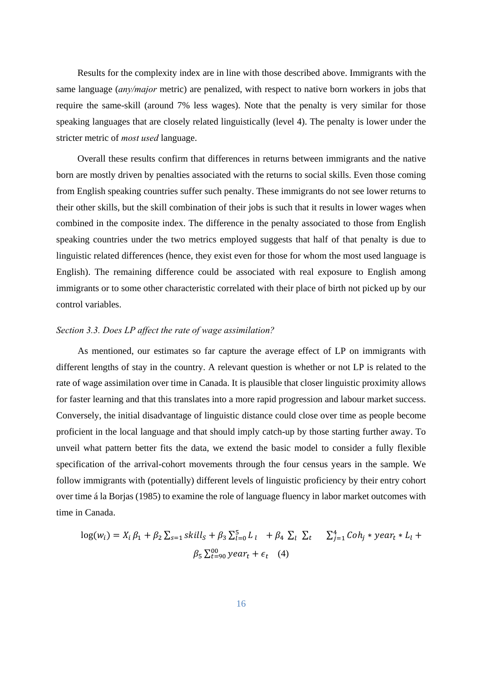Results for the complexity index are in line with those described above. Immigrants with the same language (*any/major* metric) are penalized, with respect to native born workers in jobs that require the same-skill (around 7% less wages). Note that the penalty is very similar for those speaking languages that are closely related linguistically (level 4). The penalty is lower under the stricter metric of *most used* language.

Overall these results confirm that differences in returns between immigrants and the native born are mostly driven by penalties associated with the returns to social skills. Even those coming from English speaking countries suffer such penalty. These immigrants do not see lower returns to their other skills, but the skill combination of their jobs is such that it results in lower wages when combined in the composite index. The difference in the penalty associated to those from English speaking countries under the two metrics employed suggests that half of that penalty is due to linguistic related differences (hence, they exist even for those for whom the most used language is English). The remaining difference could be associated with real exposure to English among immigrants or to some other characteristic correlated with their place of birth not picked up by our control variables.

#### *Section 3.3. Does LP affect the rate of wage assimilation?*

As mentioned, our estimates so far capture the average effect of LP on immigrants with different lengths of stay in the country. A relevant question is whether or not LP is related to the rate of wage assimilation over time in Canada. It is plausible that closer linguistic proximity allows for faster learning and that this translates into a more rapid progression and labour market success. Conversely, the initial disadvantage of linguistic distance could close over time as people become proficient in the local language and that should imply catch-up by those starting further away. To unveil what pattern better fits the data, we extend the basic model to consider a fully flexible specification of the arrival-cohort movements through the four census years in the sample. We follow immigrants with (potentially) different levels of linguistic proficiency by their entry cohort over time á la Borjas (1985) to examine the role of language fluency in labor market outcomes with time in Canada.

$$
log(w_i) = X_i \beta_1 + \beta_2 \sum_{s=1} skill_s + \beta_3 \sum_{l=0}^5 L_l + \beta_4 \sum_l \sum_t \sum_{j=1}^4 Coh_j * year_t * L_l +
$$
  

$$
\beta_5 \sum_{t=90}^{90} year_t + \epsilon_t \quad (4)
$$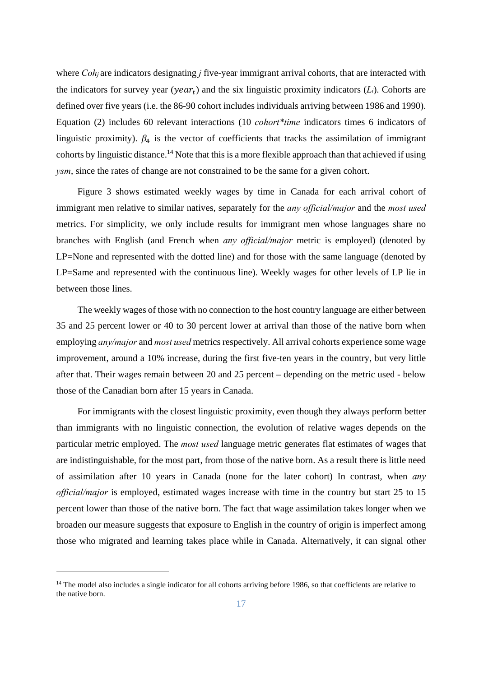where *Coh<sub>j</sub>* are indicators designating *j* five-year immigrant arrival cohorts, that are interacted with the indicators for survey year ( $\gamma$ ear<sub>t</sub>) and the six linguistic proximity indicators (*L<sub>i</sub>*). Cohorts are defined over five years (i.e. the 86-90 cohort includes individuals arriving between 1986 and 1990). Equation (2) includes 60 relevant interactions (10 *cohort\*time* indicators times 6 indicators of linguistic proximity).  $\beta_4$  is the vector of coefficients that tracks the assimilation of immigrant cohorts by linguistic distance.14 Note that this is a more flexible approach than that achieved if using *ysm*, since the rates of change are not constrained to be the same for a given cohort.

Figure 3 shows estimated weekly wages by time in Canada for each arrival cohort of immigrant men relative to similar natives, separately for the *any official/major* and the *most used*  metrics. For simplicity, we only include results for immigrant men whose languages share no branches with English (and French when *any official/major* metric is employed) (denoted by LP=None and represented with the dotted line) and for those with the same language (denoted by LP=Same and represented with the continuous line). Weekly wages for other levels of LP lie in between those lines.

The weekly wages of those with no connection to the host country language are either between 35 and 25 percent lower or 40 to 30 percent lower at arrival than those of the native born when employing *any/major* and *most used* metrics respectively. All arrival cohorts experience some wage improvement, around a 10% increase, during the first five-ten years in the country, but very little after that. Their wages remain between 20 and 25 percent – depending on the metric used - below those of the Canadian born after 15 years in Canada.

For immigrants with the closest linguistic proximity, even though they always perform better than immigrants with no linguistic connection, the evolution of relative wages depends on the particular metric employed. The *most used* language metric generates flat estimates of wages that are indistinguishable, for the most part, from those of the native born. As a result there is little need of assimilation after 10 years in Canada (none for the later cohort) In contrast, when *any official/major* is employed, estimated wages increase with time in the country but start 25 to 15 percent lower than those of the native born. The fact that wage assimilation takes longer when we broaden our measure suggests that exposure to English in the country of origin is imperfect among those who migrated and learning takes place while in Canada. Alternatively, it can signal other

<sup>&</sup>lt;sup>14</sup> The model also includes a single indicator for all cohorts arriving before 1986, so that coefficients are relative to the native born.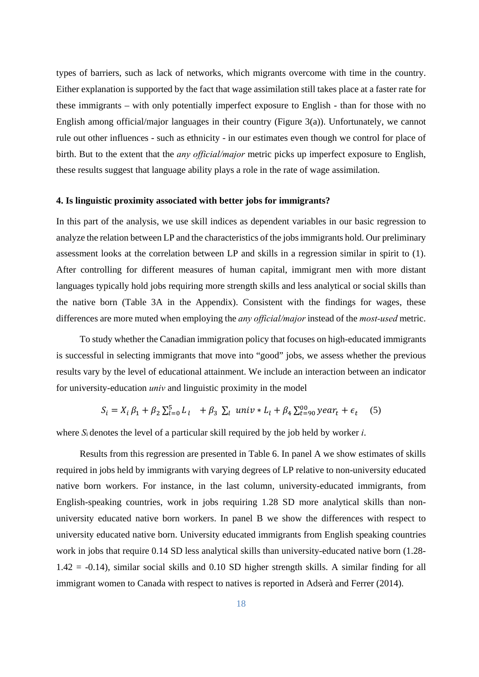types of barriers, such as lack of networks, which migrants overcome with time in the country. Either explanation is supported by the fact that wage assimilation still takes place at a faster rate for these immigrants – with only potentially imperfect exposure to English - than for those with no English among official/major languages in their country (Figure 3(a)). Unfortunately, we cannot rule out other influences - such as ethnicity - in our estimates even though we control for place of birth. But to the extent that the *any official/major* metric picks up imperfect exposure to English, these results suggest that language ability plays a role in the rate of wage assimilation.

#### **4. Is linguistic proximity associated with better jobs for immigrants?**

In this part of the analysis, we use skill indices as dependent variables in our basic regression to analyze the relation between LP and the characteristics of the jobs immigrants hold. Our preliminary assessment looks at the correlation between LP and skills in a regression similar in spirit to (1). After controlling for different measures of human capital, immigrant men with more distant languages typically hold jobs requiring more strength skills and less analytical or social skills than the native born (Table 3A in the Appendix). Consistent with the findings for wages, these differences are more muted when employing the *any official/major* instead of the *most-used* metric.

 To study whether the Canadian immigration policy that focuses on high-educated immigrants is successful in selecting immigrants that move into "good" jobs, we assess whether the previous results vary by the level of educational attainment. We include an interaction between an indicator for university-education *univ* and linguistic proximity in the model

$$
S_i = X_i \beta_1 + \beta_2 \sum_{l=0}^{5} L_l + \beta_3 \sum_l \text{ univ} * L_l + \beta_4 \sum_{t=90}^{90} \text{year}_t + \epsilon_t \quad (5)
$$

where *S*i denotes the level of a particular skill required by the job held by worker *i*.

 Results from this regression are presented in Table 6. In panel A we show estimates of skills required in jobs held by immigrants with varying degrees of LP relative to non-university educated native born workers. For instance, in the last column, university-educated immigrants, from English-speaking countries, work in jobs requiring 1.28 SD more analytical skills than nonuniversity educated native born workers. In panel B we show the differences with respect to university educated native born. University educated immigrants from English speaking countries work in jobs that require 0.14 SD less analytical skills than university-educated native born (1.28- 1.42 = -0.14), similar social skills and 0.10 SD higher strength skills. A similar finding for all immigrant women to Canada with respect to natives is reported in Adserà and Ferrer (2014).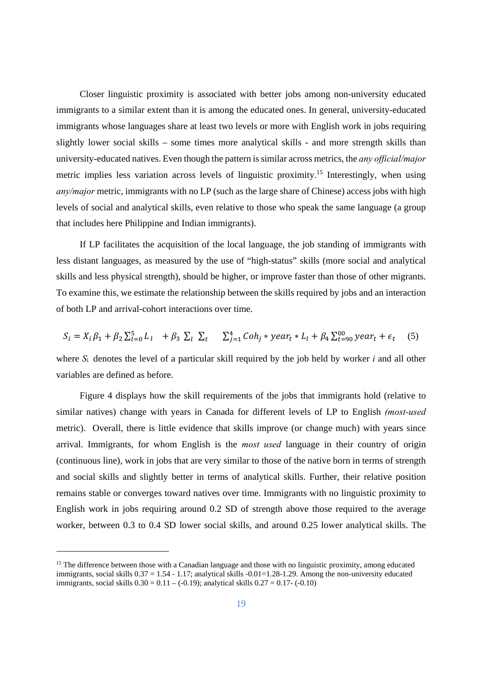Closer linguistic proximity is associated with better jobs among non-university educated immigrants to a similar extent than it is among the educated ones. In general, university-educated immigrants whose languages share at least two levels or more with English work in jobs requiring slightly lower social skills – some times more analytical skills - and more strength skills than university-educated natives. Even though the pattern is similar across metrics, the *any official/major* metric implies less variation across levels of linguistic proximity.15 Interestingly, when using *any/major* metric, immigrants with no LP (such as the large share of Chinese) access jobs with high levels of social and analytical skills, even relative to those who speak the same language (a group that includes here Philippine and Indian immigrants).

 If LP facilitates the acquisition of the local language, the job standing of immigrants with less distant languages, as measured by the use of "high-status" skills (more social and analytical skills and less physical strength), should be higher, or improve faster than those of other migrants. To examine this, we estimate the relationship between the skills required by jobs and an interaction of both LP and arrival-cohort interactions over time.

$$
S_i = X_i \beta_1 + \beta_2 \sum_{l=0}^{5} L_l + \beta_3 \sum_l \sum_t \sum_{j=1}^{4} Coh_j * year_t * L_l + \beta_4 \sum_{t=90}^{10} year_t + \epsilon_t \quad (5)
$$

where *S*i denotes the level of a particular skill required by the job held by worker *i* and all other variables are defined as before.

 Figure 4 displays how the skill requirements of the jobs that immigrants hold (relative to similar natives) change with years in Canada for different levels of LP to English *(most-used*  metric). Overall, there is little evidence that skills improve (or change much) with years since arrival. Immigrants, for whom English is the *most used* language in their country of origin (continuous line), work in jobs that are very similar to those of the native born in terms of strength and social skills and slightly better in terms of analytical skills. Further, their relative position remains stable or converges toward natives over time. Immigrants with no linguistic proximity to English work in jobs requiring around 0.2 SD of strength above those required to the average worker, between 0.3 to 0.4 SD lower social skills, and around 0.25 lower analytical skills. The

<sup>&</sup>lt;sup>15</sup> The difference between those with a Canadian language and those with no linguistic proximity, among educated immigrants, social skills 0.37 = 1.54 - 1.17; analytical skills -0.01=1.28-1.29. Among the non-university educated immigrants, social skills  $0.30 = 0.11 - (-0.19)$ ; analytical skills  $0.27 = 0.17 - (-0.10)$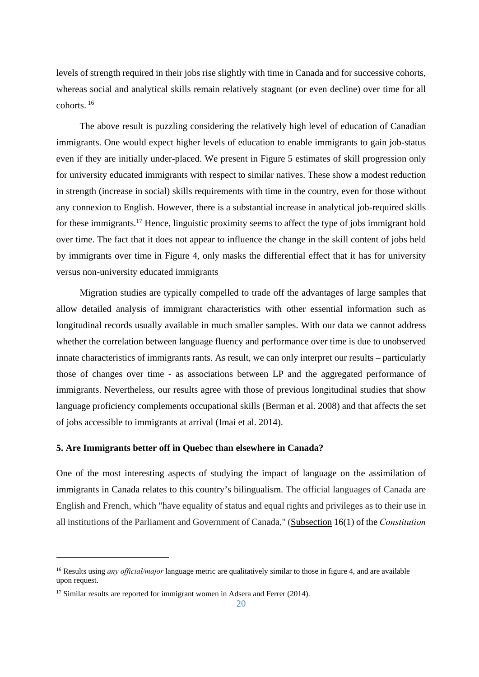levels of strength required in their jobs rise slightly with time in Canada and for successive cohorts, whereas social and analytical skills remain relatively stagnant (or even decline) over time for all cohorts. 16

 The above result is puzzling considering the relatively high level of education of Canadian immigrants. One would expect higher levels of education to enable immigrants to gain job-status even if they are initially under-placed. We present in Figure 5 estimates of skill progression only for university educated immigrants with respect to similar natives. These show a modest reduction in strength (increase in social) skills requirements with time in the country, even for those without any connexion to English. However, there is a substantial increase in analytical job-required skills for these immigrants.17 Hence, linguistic proximity seems to affect the type of jobs immigrant hold over time. The fact that it does not appear to influence the change in the skill content of jobs held by immigrants over time in Figure 4, only masks the differential effect that it has for university versus non-university educated immigrants

 Migration studies are typically compelled to trade off the advantages of large samples that allow detailed analysis of immigrant characteristics with other essential information such as longitudinal records usually available in much smaller samples. With our data we cannot address whether the correlation between language fluency and performance over time is due to unobserved innate characteristics of immigrants rants. As result, we can only interpret our results – particularly those of changes over time - as associations between LP and the aggregated performance of immigrants. Nevertheless, our results agree with those of previous longitudinal studies that show language proficiency complements occupational skills (Berman et al. 2008) and that affects the set of jobs accessible to immigrants at arrival (Imai et al. 2014).

#### **5. Are Immigrants better off in Quebec than elsewhere in Canada?**

One of the most interesting aspects of studying the impact of language on the assimilation of immigrants in Canada relates to this country's bilingualism. The official languages of Canada are English and French, which "have equality of status and equal rights and privileges as to their use in all institutions of the Parliament and Government of Canada," (Subsection 16(1) of the *Constitution* 

1

<sup>16</sup> Results using *any official/major* language metric are qualitatively similar to those in figure 4, and are available upon request.

<sup>&</sup>lt;sup>17</sup> Similar results are reported for immigrant women in Adsera and Ferrer (2014).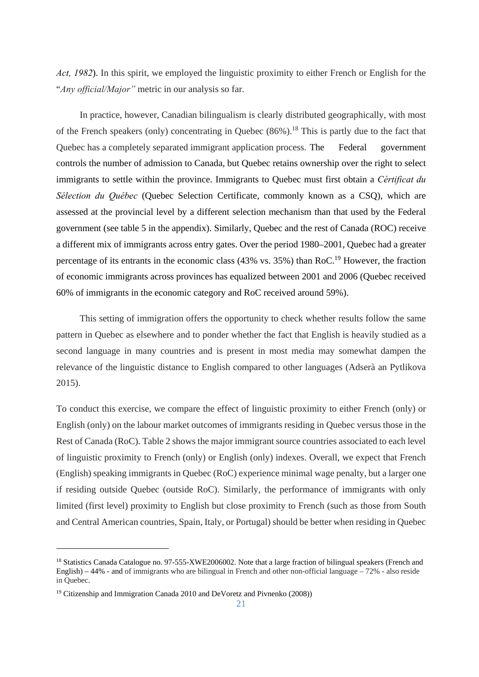*Act, 1982*). In this spirit, we employed the linguistic proximity to either French or English for the "*Any official/Major"* metric in our analysis so far.

 In practice, however, Canadian bilingualism is clearly distributed geographically, with most of the French speakers (only) concentrating in Quebec  $(86\%)$ .<sup>18</sup> This is partly due to the fact that Quebec has a completely separated immigrant application process. The Federal government controls the number of admission to Canada, but Quebec retains ownership over the right to select immigrants to settle within the province. Immigrants to Quebec must first obtain a *Cértificat du Sélection du Québec* (Quebec Selection Certificate, commonly known as a CSQ), which are assessed at the provincial level by a different selection mechanism than that used by the Federal government (see table 5 in the appendix). Similarly, Quebec and the rest of Canada (ROC) receive a different mix of immigrants across entry gates. Over the period 1980–2001, Quebec had a greater percentage of its entrants in the economic class (43% vs. 35%) than RoC.19 However, the fraction of economic immigrants across provinces has equalized between 2001 and 2006 (Quebec received 60% of immigrants in the economic category and RoC received around 59%).

 This setting of immigration offers the opportunity to check whether results follow the same pattern in Quebec as elsewhere and to ponder whether the fact that English is heavily studied as a second language in many countries and is present in most media may somewhat dampen the relevance of the linguistic distance to English compared to other languages (Adserà an Pytlikova 2015).

To conduct this exercise, we compare the effect of linguistic proximity to either French (only) or English (only) on the labour market outcomes of immigrants residing in Quebec versus those in the Rest of Canada (RoC). Table 2 shows the major immigrant source countries associated to each level of linguistic proximity to French (only) or English (only) indexes. Overall, we expect that French (English) speaking immigrants in Quebec (RoC) experience minimal wage penalty, but a larger one if residing outside Quebec (outside RoC). Similarly, the performance of immigrants with only limited (first level) proximity to English but close proximity to French (such as those from South and Central American countries, Spain, Italy, or Portugal) should be better when residing in Quebec

<sup>&</sup>lt;sup>18</sup> Statistics Canada Catalogue no. 97-555-XWE2006002. Note that a large fraction of bilingual speakers (French and English) – 44% - and of immigrants who are bilingual in French and other non-official language – 72% - also reside in Quebec.

<sup>&</sup>lt;sup>19</sup> Citizenship and Immigration Canada 2010 and DeVoretz and Pivnenko (2008))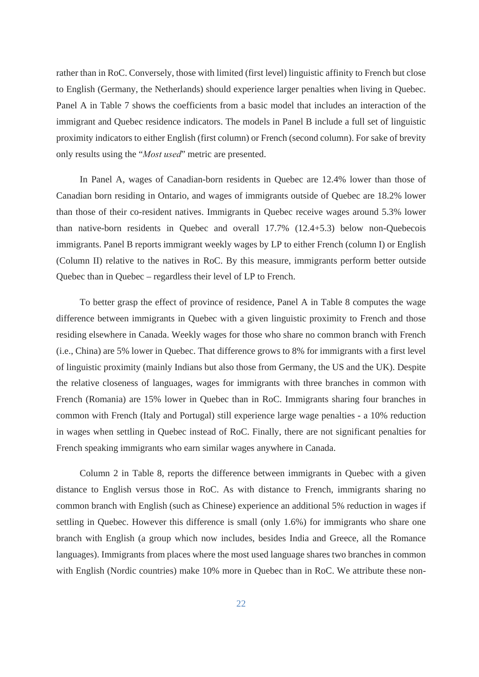rather than in RoC. Conversely, those with limited (first level) linguistic affinity to French but close to English (Germany, the Netherlands) should experience larger penalties when living in Quebec. Panel A in Table 7 shows the coefficients from a basic model that includes an interaction of the immigrant and Quebec residence indicators. The models in Panel B include a full set of linguistic proximity indicators to either English (first column) or French (second column). For sake of brevity only results using the "*Most used*" metric are presented.

 In Panel A, wages of Canadian-born residents in Quebec are 12.4% lower than those of Canadian born residing in Ontario, and wages of immigrants outside of Quebec are 18.2% lower than those of their co-resident natives. Immigrants in Quebec receive wages around 5.3% lower than native-born residents in Quebec and overall 17.7% (12.4+5.3) below non-Quebecois immigrants. Panel B reports immigrant weekly wages by LP to either French (column I) or English (Column II) relative to the natives in RoC. By this measure, immigrants perform better outside Quebec than in Quebec – regardless their level of LP to French.

 To better grasp the effect of province of residence, Panel A in Table 8 computes the wage difference between immigrants in Quebec with a given linguistic proximity to French and those residing elsewhere in Canada. Weekly wages for those who share no common branch with French (i.e., China) are 5% lower in Quebec. That difference grows to 8% for immigrants with a first level of linguistic proximity (mainly Indians but also those from Germany, the US and the UK). Despite the relative closeness of languages, wages for immigrants with three branches in common with French (Romania) are 15% lower in Quebec than in RoC. Immigrants sharing four branches in common with French (Italy and Portugal) still experience large wage penalties - a 10% reduction in wages when settling in Quebec instead of RoC. Finally, there are not significant penalties for French speaking immigrants who earn similar wages anywhere in Canada.

 Column 2 in Table 8, reports the difference between immigrants in Quebec with a given distance to English versus those in RoC. As with distance to French, immigrants sharing no common branch with English (such as Chinese) experience an additional 5% reduction in wages if settling in Quebec. However this difference is small (only 1.6%) for immigrants who share one branch with English (a group which now includes, besides India and Greece, all the Romance languages). Immigrants from places where the most used language shares two branches in common with English (Nordic countries) make 10% more in Quebec than in RoC. We attribute these non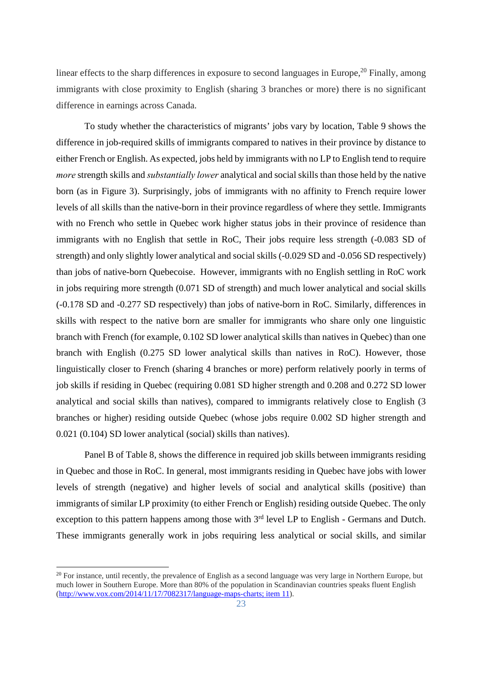linear effects to the sharp differences in exposure to second languages in Europe,  $^{20}$  Finally, among immigrants with close proximity to English (sharing 3 branches or more) there is no significant difference in earnings across Canada.

To study whether the characteristics of migrants' jobs vary by location, Table 9 shows the difference in job-required skills of immigrants compared to natives in their province by distance to either French or English. As expected, jobs held by immigrants with no LP to English tend to require *more* strength skills and *substantially lower* analytical and social skills than those held by the native born (as in Figure 3). Surprisingly, jobs of immigrants with no affinity to French require lower levels of all skills than the native-born in their province regardless of where they settle. Immigrants with no French who settle in Quebec work higher status jobs in their province of residence than immigrants with no English that settle in RoC, Their jobs require less strength (-0.083 SD of strength) and only slightly lower analytical and social skills (-0.029 SD and -0.056 SD respectively) than jobs of native-born Quebecoise. However, immigrants with no English settling in RoC work in jobs requiring more strength (0.071 SD of strength) and much lower analytical and social skills (-0.178 SD and -0.277 SD respectively) than jobs of native-born in RoC. Similarly, differences in skills with respect to the native born are smaller for immigrants who share only one linguistic branch with French (for example, 0.102 SD lower analytical skills than natives in Quebec) than one branch with English (0.275 SD lower analytical skills than natives in RoC). However, those linguistically closer to French (sharing 4 branches or more) perform relatively poorly in terms of job skills if residing in Quebec (requiring 0.081 SD higher strength and 0.208 and 0.272 SD lower analytical and social skills than natives), compared to immigrants relatively close to English (3 branches or higher) residing outside Quebec (whose jobs require 0.002 SD higher strength and 0.021 (0.104) SD lower analytical (social) skills than natives).

Panel B of Table 8, shows the difference in required job skills between immigrants residing in Quebec and those in RoC. In general, most immigrants residing in Quebec have jobs with lower levels of strength (negative) and higher levels of social and analytical skills (positive) than immigrants of similar LP proximity (to either French or English) residing outside Quebec. The only exception to this pattern happens among those with  $3<sup>rd</sup>$  level LP to English - Germans and Dutch. These immigrants generally work in jobs requiring less analytical or social skills, and similar

<sup>&</sup>lt;sup>20</sup> For instance, until recently, the prevalence of English as a second language was very large in Northern Europe, but much lower in Southern Europe. More than 80% of the population in Scandinavian countries speaks fluent English  $(\text{http://www.vox.com/2014/11/17/7082317/language-maps-charts; item 11}).$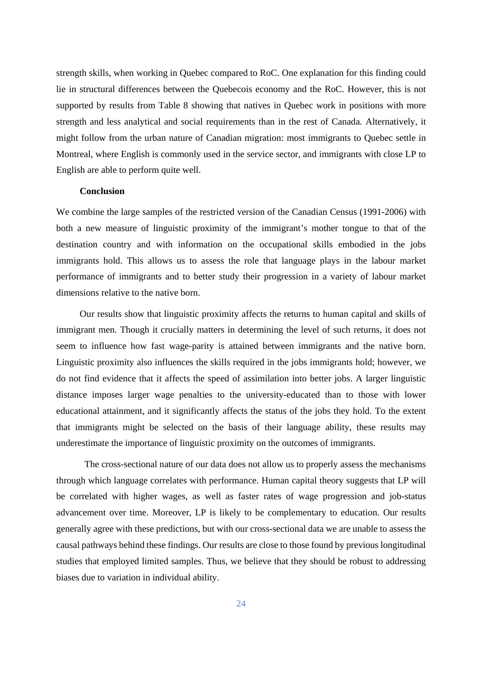strength skills, when working in Quebec compared to RoC. One explanation for this finding could lie in structural differences between the Quebecois economy and the RoC. However, this is not supported by results from Table 8 showing that natives in Quebec work in positions with more strength and less analytical and social requirements than in the rest of Canada. Alternatively, it might follow from the urban nature of Canadian migration: most immigrants to Quebec settle in Montreal, where English is commonly used in the service sector, and immigrants with close LP to English are able to perform quite well.

#### **Conclusion**

We combine the large samples of the restricted version of the Canadian Census (1991-2006) with both a new measure of linguistic proximity of the immigrant's mother tongue to that of the destination country and with information on the occupational skills embodied in the jobs immigrants hold. This allows us to assess the role that language plays in the labour market performance of immigrants and to better study their progression in a variety of labour market dimensions relative to the native born.

 Our results show that linguistic proximity affects the returns to human capital and skills of immigrant men. Though it crucially matters in determining the level of such returns, it does not seem to influence how fast wage-parity is attained between immigrants and the native born. Linguistic proximity also influences the skills required in the jobs immigrants hold; however, we do not find evidence that it affects the speed of assimilation into better jobs. A larger linguistic distance imposes larger wage penalties to the university-educated than to those with lower educational attainment, and it significantly affects the status of the jobs they hold. To the extent that immigrants might be selected on the basis of their language ability, these results may underestimate the importance of linguistic proximity on the outcomes of immigrants.

 The cross-sectional nature of our data does not allow us to properly assess the mechanisms through which language correlates with performance. Human capital theory suggests that LP will be correlated with higher wages, as well as faster rates of wage progression and job-status advancement over time. Moreover, LP is likely to be complementary to education. Our results generally agree with these predictions, but with our cross-sectional data we are unable to assess the causal pathways behind these findings. Our results are close to those found by previous longitudinal studies that employed limited samples. Thus, we believe that they should be robust to addressing biases due to variation in individual ability.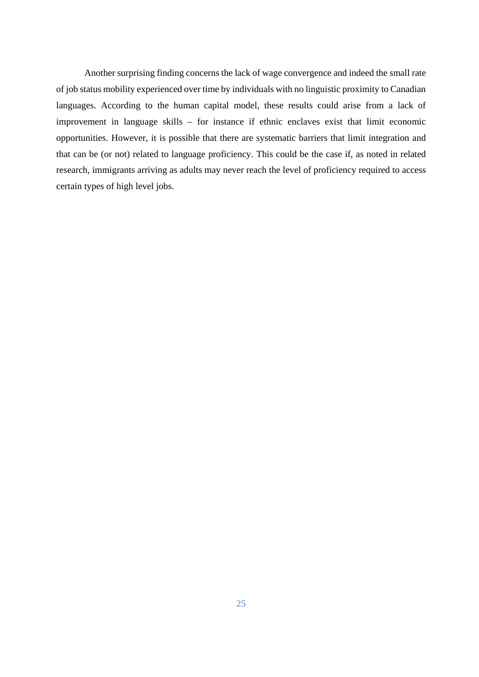Another surprising finding concerns the lack of wage convergence and indeed the small rate of job status mobility experienced over time by individuals with no linguistic proximity to Canadian languages. According to the human capital model, these results could arise from a lack of improvement in language skills – for instance if ethnic enclaves exist that limit economic opportunities. However, it is possible that there are systematic barriers that limit integration and that can be (or not) related to language proficiency. This could be the case if, as noted in related research, immigrants arriving as adults may never reach the level of proficiency required to access certain types of high level jobs.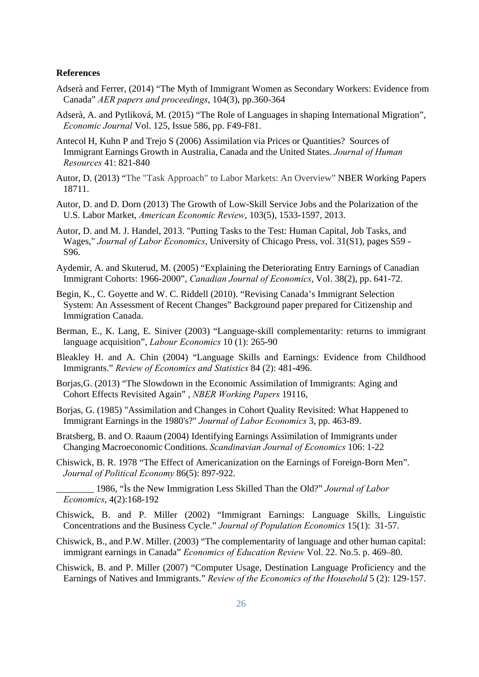#### **References**

- Adserà and Ferrer, (2014) "The Myth of Immigrant Women as Secondary Workers: Evidence from Canada" *AER papers and proceedings*, 104(3), pp.360-364
- Adserà, A. and Pytliková, M. (2015) "The Role of Languages in shaping International Migration", *Economic Journal* Vol. 125, Issue 586, pp. F49-F81.
- Antecol H, Kuhn P and Trejo S (2006) Assimilation via Prices or Quantities? Sources of Immigrant Earnings Growth in Australia, Canada and the United States. *Journal of Human Resources* 41: 821-840
- Autor, D. (2013) "The "Task Approach" to Labor Markets: An Overview" NBER Working Papers 18711.
- Autor, D. and D. Dorn (2013) The Growth of Low-Skill Service Jobs and the Polarization of the U.S. Labor Market, *American Economic Review*, 103(5), 1533-1597, 2013.
- Autor, D. and M. J. Handel, 2013. "Putting Tasks to the Test: Human Capital, Job Tasks, and Wages," *Journal of Labor Economics*, University of Chicago Press, vol. 31(S1), pages S59 - S96.
- Aydemir, A. and Skuterud, M. (2005) "Explaining the Deteriorating Entry Earnings of Canadian Immigrant Cohorts: 1966-2000", *Canadian Journal of Economics*, Vol. 38(2), pp. 641-72.
- Begin, K., C. Goyette and W. C. Riddell (2010). "Revising Canada's Immigrant Selection System: An Assessment of Recent Changes" Background paper prepared for Citizenship and Immigration Canada.
- Berman, E., K. Lang, E. Siniver (2003) "Language-skill complementarity: returns to immigrant language acquisition", *Labour Economics* 10 (1): 265-90
- Bleakley H. and A. Chin (2004) "Language Skills and Earnings: Evidence from Childhood Immigrants." *Review of Economics and Statistics* 84 (2): 481-496.
- Borjas,G. (2013) "The Slowdown in the Economic Assimilation of Immigrants: Aging and Cohort Effects Revisited Again" , *NBER Working Papers* 19116,
- Borjas, G. (1985) "Assimilation and Changes in Cohort Quality Revisited: What Happened to Immigrant Earnings in the 1980's?" *Journal of Labor Economics* 3, pp. 463-89.
- Bratsberg, B. and O. Raaum (2004) Identifying Earnings Assimilation of Immigrants under Changing Macroeconomic Conditions. *Scandinavian Journal of Economics* 106: 1-22
- Chiswick, B. R. 1978 "The Effect of Americanization on the Earnings of Foreign-Born Men". *Journal of Political Economy* 86(5): 897-922.
- \_\_\_\_\_\_\_\_ 1986, "Ìs the New Immigration Less Skilled Than the Old?" *Journal of Labor Economics*, 4(2):168-192
- Chiswick, B. and P. Miller (2002) "Immigrant Earnings: Language Skills, Linguistic Concentrations and the Business Cycle." *Journal of Population Economics* 15(1): 31-57.
- Chiswick, B., and P.W. Miller. (2003) "The complementarity of language and other human capital: immigrant earnings in Canada" *Economics of Education Review* Vol. 22. No.5. p. 469–80.
- Chiswick, B. and P. Miller (2007) "Computer Usage, Destination Language Proficiency and the Earnings of Natives and Immigrants." *Review of the Economics of the Household* 5 (2): 129-157.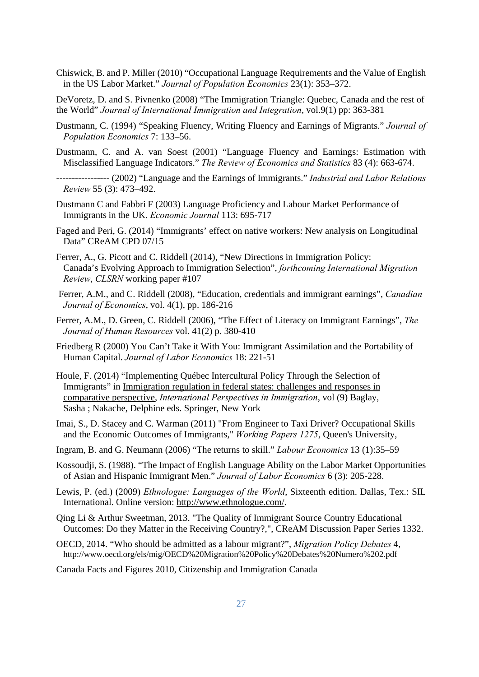- Chiswick, B. and P. Miller (2010) "Occupational Language Requirements and the Value of English in the US Labor Market." *Journal of Population Economics* 23(1): 353–372.
- DeVoretz, D. and S. Pivnenko (2008) "The Immigration Triangle: Quebec, Canada and the rest of the World" *Journal of International Immigration and Integration*, vol.9(1) pp: 363-381
- Dustmann, C. (1994) "Speaking Fluency, Writing Fluency and Earnings of Migrants." *Journal of Population Economics* 7: 133–56.
- Dustmann, C. and A. van Soest (2001) "Language Fluency and Earnings: Estimation with Misclassified Language Indicators." *The Review of Economics and Statistics* 83 (4): 663-674.
- ----------------- (2002) "Language and the Earnings of Immigrants." *Industrial and Labor Relations Review* 55 (3): 473–492.
- Dustmann C and Fabbri F (2003) Language Proficiency and Labour Market Performance of Immigrants in the UK. *Economic Journal* 113: 695-717
- Faged and Peri, G. (2014) "Immigrants' effect on native workers: New analysis on Longitudinal Data" CReAM CPD 07/15
- Ferrer, A., G. Picott and C. Riddell (2014), "New Directions in Immigration Policy: Canada's Evolving Approach to Immigration Selection", *forthcoming International Migration Review*, *CLSRN* working paper #107
- Ferrer, A.M., and C. Riddell (2008), "Education, credentials and immigrant earnings", *Canadian Journal of Economics*, vol. 4(1), pp. 186-216
- Ferrer, A.M., D. Green, C. Riddell (2006), "The Effect of Literacy on Immigrant Earnings", *The Journal of Human Resources* vol. 41(2) p. 380-410
- Friedberg R (2000) You Can't Take it With You: Immigrant Assimilation and the Portability of Human Capital. *Journal of Labor Economics* 18: 221-51
- Houle, F. (2014) "Implementing Québec Intercultural Policy Through the Selection of Immigrants" in Immigration regulation in federal states: challenges and responses in comparative perspective, *International Perspectives in Immigration*, vol (9) Baglay, Sasha ; Nakache, Delphine eds. Springer, New York
- Imai, S., D. Stacey and C. Warman (2011) "From Engineer to Taxi Driver? Occupational Skills and the Economic Outcomes of Immigrants," *Working Papers 1275*, Queen's University,
- Ingram, B. and G. Neumann (2006) "The returns to skill." *Labour Economics* 13 (1):35–59
- Kossoudji, S. (1988). "The Impact of English Language Ability on the Labor Market Opportunities of Asian and Hispanic Immigrant Men." *Journal of Labor Economics* 6 (3): 205-228.
- Lewis, P. (ed.) (2009) *Ethnologue: Languages of the World*, Sixteenth edition. Dallas, Tex.: SIL International. Online version: http://www.ethnologue.com/.
- Qing Li & Arthur Sweetman, 2013. "The Quality of Immigrant Source Country Educational Outcomes: Do they Matter in the Receiving Country?,", CReAM Discussion Paper Series 1332.
- OECD, 2014. "Who should be admitted as a labour migrant?", *Migration Policy Debates* 4, http://www.oecd.org/els/mig/OECD%20Migration%20Policy%20Debates%20Numero%202.pdf
- Canada Facts and Figures 2010, Citizenship and Immigration Canada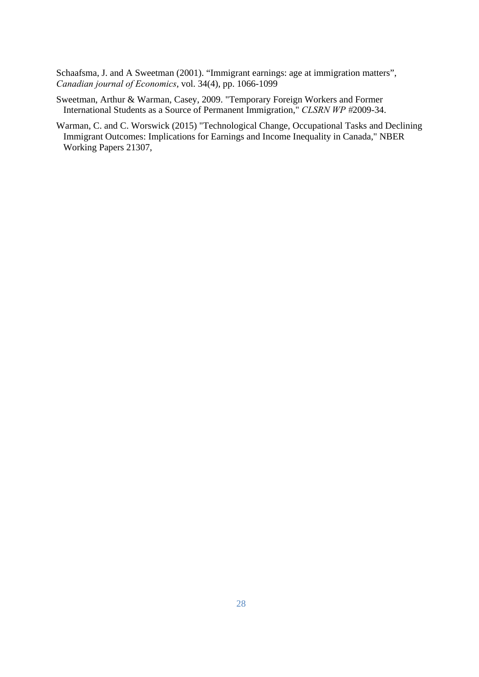Schaafsma, J. and A Sweetman (2001). "Immigrant earnings: age at immigration matters", *Canadian journal of Economics*, vol. 34(4), pp. 1066-1099

- Sweetman, Arthur & Warman, Casey, 2009. "Temporary Foreign Workers and Former International Students as a Source of Permanent Immigration," *CLSRN WP #*2009-34.
- Warman, C. and C. Worswick (2015) "Technological Change, Occupational Tasks and Declining Immigrant Outcomes: Implications for Earnings and Income Inequality in Canada," NBER Working Papers 21307,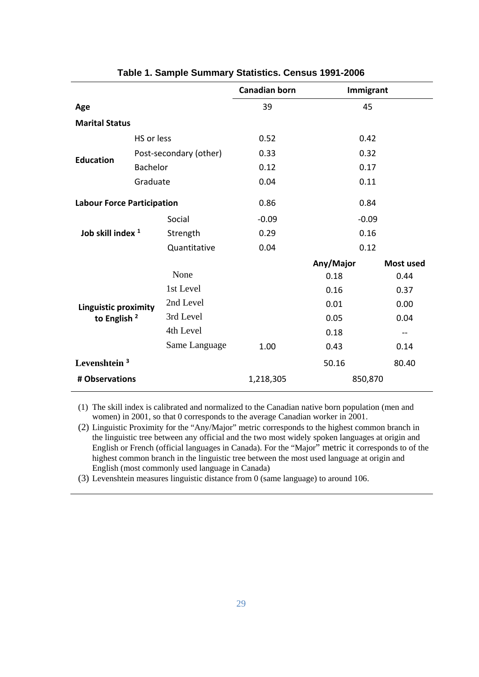|                                   |            | <b>Canadian born</b>   | Immigrant |           |                  |
|-----------------------------------|------------|------------------------|-----------|-----------|------------------|
| Age                               |            |                        | 39        | 45        |                  |
| <b>Marital Status</b>             |            |                        |           |           |                  |
|                                   | HS or less |                        | 0.52      | 0.42      |                  |
| <b>Education</b>                  |            | Post-secondary (other) | 0.33      | 0.32      |                  |
|                                   | Bachelor   |                        | 0.12      | 0.17      |                  |
|                                   | Graduate   |                        | 0.04      | 0.11      |                  |
| <b>Labour Force Participation</b> |            | 0.86                   | 0.84      |           |                  |
|                                   |            | Social                 | $-0.09$   | $-0.09$   |                  |
| Job skill index <sup>1</sup>      |            | Strength               | 0.29      | 0.16      |                  |
|                                   |            | Quantitative           | 0.04      | 0.12      |                  |
|                                   |            |                        |           | Any/Major | <b>Most used</b> |
|                                   |            | None                   |           | 0.18      | 0.44             |
|                                   |            | 1st Level              |           | 0.16      | 0.37             |
| <b>Linguistic proximity</b>       |            | 2nd Level              |           | 0.01      | 0.00             |
| to English $2$                    |            | 3rd Level              |           | 0.05      | 0.04             |
|                                   |            | 4th Level              |           | 0.18      | $- -$            |
|                                   |            | Same Language          | 1.00      | 0.43      | 0.14             |
| Levenshtein <sup>3</sup>          |            |                        |           | 50.16     | 80.40            |
| # Observations                    |            | 1,218,305              | 850,870   |           |                  |

| Table 1. Sample Summary Statistics. Census 1991-2006 |  |  |  |
|------------------------------------------------------|--|--|--|
|------------------------------------------------------|--|--|--|

(1) The skill index is calibrated and normalized to the Canadian native born population (men and women) in 2001, so that 0 corresponds to the average Canadian worker in 2001.

(2) Linguistic Proximity for the "Any/Major" metric corresponds to the highest common branch in the linguistic tree between any official and the two most widely spoken languages at origin and English or French (official languages in Canada). For the "Major" metric it corresponds to of the highest common branch in the linguistic tree between the most used language at origin and English (most commonly used language in Canada)

(3) Levenshtein measures linguistic distance from 0 (same language) to around 106.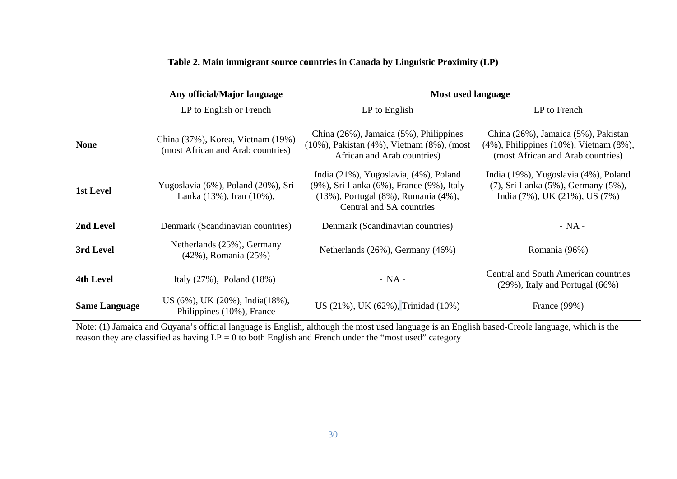|                      | Any official/Major language                                            |                                                                                                                                                                  | Most used language                                                                                                             |  |  |  |
|----------------------|------------------------------------------------------------------------|------------------------------------------------------------------------------------------------------------------------------------------------------------------|--------------------------------------------------------------------------------------------------------------------------------|--|--|--|
|                      | LP to English or French                                                | LP to English                                                                                                                                                    | LP to French                                                                                                                   |  |  |  |
| <b>None</b>          | China (37%), Korea, Vietnam (19%)<br>(most African and Arab countries) | China $(26\%)$ , Jamaica $(5\%)$ , Philippines<br>(10%), Pakistan (4%), Vietnam (8%), (most<br>African and Arab countries)                                       | China (26%), Jamaica (5%), Pakistan<br>$(4\%)$ , Philippines $(10\%)$ , Vietnam $(8\%)$ ,<br>(most African and Arab countries) |  |  |  |
| 1st Level            | Yugoslavia (6%), Poland (20%), Sri<br>Lanka $(13\%)$ , Iran $(10\%)$ , | India (21%), Yugoslavia, (4%), Poland<br>(9%), Sri Lanka (6%), France (9%), Italy<br>$(13\%)$ , Portugal $(8\%)$ , Rumania $(4\%)$ ,<br>Central and SA countries | India (19%), Yugoslavia (4%), Poland<br>(7), Sri Lanka (5%), Germany (5%),<br>India $(7\%)$ , UK $(21\%)$ , US $(7\%)$         |  |  |  |
| 2nd Level            | Denmark (Scandinavian countries)                                       | Denmark (Scandinavian countries)                                                                                                                                 | $- NA -$                                                                                                                       |  |  |  |
| 3rd Level            | Netherlands (25%), Germany<br>(42%), Romania (25%)                     | Netherlands $(26\%)$ , Germany $(46\%)$                                                                                                                          | Romania (96%)                                                                                                                  |  |  |  |
| 4th Level            | Italy $(27\%)$ , Poland $(18\%)$                                       | $- NA -$                                                                                                                                                         | Central and South American countries<br>$(29\%)$ , Italy and Portugal $(66\%)$                                                 |  |  |  |
| <b>Same Language</b> | US (6%), UK (20%), India(18%),<br>Philippines (10%), France            | US (21%), UK (62%), Trinidad (10%)                                                                                                                               | France (99%)                                                                                                                   |  |  |  |

**Table 2. Main immigrant source countries in Canada by Linguistic Proximity (LP)** 

Note: (1) Jamaica and Guyana's official language is English, although the most used language is an English based-Creole language, which is the reason they are classified as having LP = 0 to both English and French under the "most used" category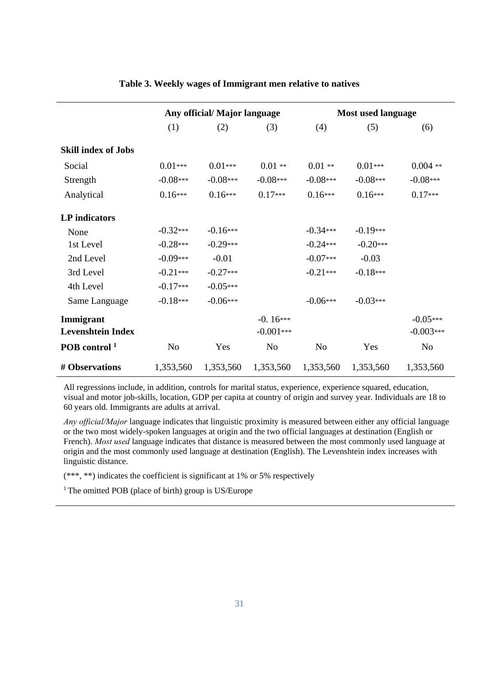|                            | Any official/ Major language |            |                |                | <b>Most used language</b> |                |  |  |
|----------------------------|------------------------------|------------|----------------|----------------|---------------------------|----------------|--|--|
|                            | (1)                          | (2)        | (3)            | (4)            | (5)                       | (6)            |  |  |
| <b>Skill index of Jobs</b> |                              |            |                |                |                           |                |  |  |
| Social                     | $0.01***$                    | $0.01***$  | $0.01**$       | $0.01**$       | $0.01***$                 | $0.004$ **     |  |  |
| Strength                   | $-0.08***$                   | $-0.08***$ | $-0.08***$     | $-0.08***$     | $-0.08***$                | $-0.08***$     |  |  |
| Analytical                 | $0.16***$                    | $0.16***$  | $0.17***$      | $0.16***$      | $0.16***$                 | $0.17***$      |  |  |
| <b>LP</b> indicators       |                              |            |                |                |                           |                |  |  |
| None                       | $-0.32***$                   | $-0.16***$ |                | $-0.34***$     | $-0.19***$                |                |  |  |
| 1st Level                  | $-0.28***$                   | $-0.29***$ |                | $-0.24***$     | $-0.20***$                |                |  |  |
| 2nd Level                  | $-0.09***$                   | $-0.01$    |                | $-0.07***$     | $-0.03$                   |                |  |  |
| 3rd Level                  | $-0.21***$                   | $-0.27***$ |                | $-0.21***$     | $-0.18***$                |                |  |  |
| 4th Level                  | $-0.17***$                   | $-0.05***$ |                |                |                           |                |  |  |
| Same Language              | $-0.18***$                   | $-0.06***$ |                | $-0.06***$     | $-0.03***$                |                |  |  |
| Immigrant                  |                              |            | $-0.16***$     |                |                           | $-0.05***$     |  |  |
| <b>Levenshtein Index</b>   |                              |            | $-0.001***$    |                |                           | $-0.003***$    |  |  |
| POB control <sup>1</sup>   | N <sub>0</sub>               | Yes        | N <sub>o</sub> | N <sub>o</sub> | Yes                       | N <sub>o</sub> |  |  |
| # Observations             | 1,353,560                    | 1,353,560  | 1,353,560      | 1,353,560      | 1,353,560                 | 1,353,560      |  |  |

#### **Table 3. Weekly wages of Immigrant men relative to natives**

All regressions include, in addition, controls for marital status, experience, experience squared, education, visual and motor job-skills, location, GDP per capita at country of origin and survey year. Individuals are 18 to 60 years old. Immigrants are adults at arrival.

*Any official/Major* language indicates that linguistic proximity is measured between either any official language or the two most widely-spoken languages at origin and the two official languages at destination (English or French). *Most used* language indicates that distance is measured between the most commonly used language at origin and the most commonly used language at destination (English). The Levenshtein index increases with linguistic distance.

(\*\*\*, \*\*) indicates the coefficient is significant at 1% or 5% respectively

 $1$ <sup>1</sup> The omitted POB (place of birth) group is US/Europe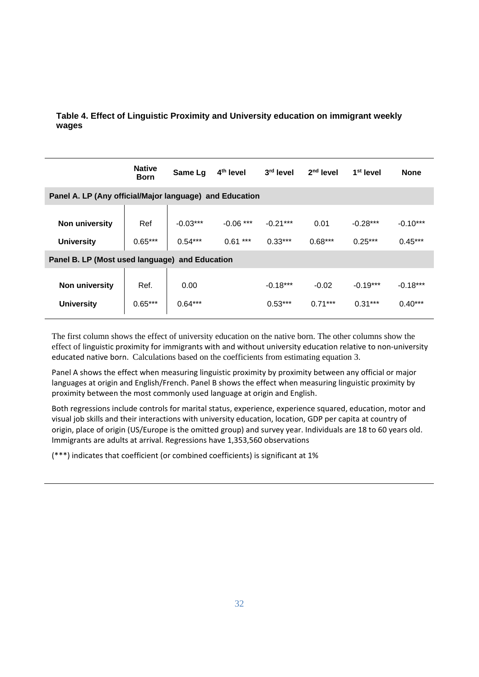#### **Table 4. Effect of Linguistic Proximity and University education on immigrant weekly wages**

|                                                         | <b>Native</b><br><b>Born</b> | Same Lg    | 4 <sup>th</sup> level | 3rd level  | $2nd$ level | 1 <sup>st</sup> level | <b>None</b> |  |
|---------------------------------------------------------|------------------------------|------------|-----------------------|------------|-------------|-----------------------|-------------|--|
| Panel A. LP (Any official/Major language) and Education |                              |            |                       |            |             |                       |             |  |
|                                                         |                              |            |                       |            |             |                       |             |  |
| Non university                                          | Ref                          | $-0.03***$ | $-0.06$ ***           | $-0.21***$ | 0.01        | $-0.28***$            | $-0.10***$  |  |
| <b>University</b>                                       | $0.65***$                    | $0.54***$  | $0.61***$             | $0.33***$  | $0.68***$   | $0.25***$             | $0.45***$   |  |
| Panel B. LP (Most used language) and Education          |                              |            |                       |            |             |                       |             |  |
|                                                         |                              |            |                       |            |             |                       |             |  |
| <b>Non university</b>                                   | Ref.                         | 0.00       |                       | $-0.18***$ | $-0.02$     | $-0.19***$            | $-0.18***$  |  |
| <b>University</b>                                       | $0.65***$                    | $0.64***$  |                       | $0.53***$  | $0.71***$   | $0.31***$             | $0.40***$   |  |

The first column shows the effect of university education on the native born. The other columns show the effect of linguistic proximity for immigrants with and without university education relative to non-university educated native born. Calculations based on the coefficients from estimating equation 3.

Panel A shows the effect when measuring linguistic proximity by proximity between any official or major languages at origin and English/French. Panel B shows the effect when measuring linguistic proximity by proximity between the most commonly used language at origin and English.

Both regressions include controls for marital status, experience, experience squared, education, motor and visual job skills and their interactions with university education, location, GDP per capita at country of origin, place of origin (US/Europe is the omitted group) and survey year. Individuals are 18 to 60 years old. Immigrants are adults at arrival. Regressions have 1,353,560 observations

(\*\*\*) indicates that coefficient (or combined coefficients) is significant at 1%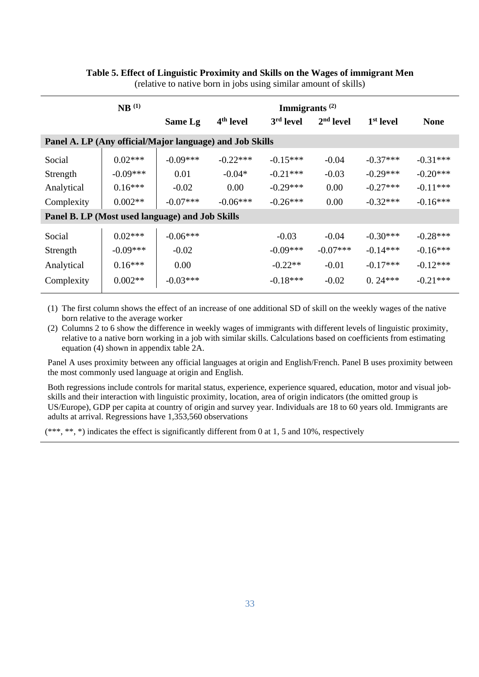| $NB$ <sup>(1)</sup>                                      |            |            | Immigrants $(2)$      |            |             |                       |             |
|----------------------------------------------------------|------------|------------|-----------------------|------------|-------------|-----------------------|-------------|
|                                                          |            | Same Lg    | 4 <sup>th</sup> level | 3rd level  | $2nd$ level | 1 <sup>st</sup> level | <b>None</b> |
| Panel A. LP (Any official/Major language) and Job Skills |            |            |                       |            |             |                       |             |
| Social                                                   | $0.02***$  | $-0.09***$ | $-0.22***$            | $-0.15***$ | $-0.04$     | $-0.37***$            | $-0.31***$  |
| Strength                                                 | $-0.09***$ | 0.01       | $-0.04*$              | $-0.21***$ | $-0.03$     | $-0.29***$            | $-0.20***$  |
| Analytical                                               | $0.16***$  | $-0.02$    | 0.00                  | $-0.29***$ | 0.00        | $-0.27***$            | $-0.11***$  |
| Complexity                                               | $0.002**$  | $-0.07***$ | $-0.06***$            | $-0.26***$ | 0.00        | $-0.32***$            | $-0.16***$  |
| Panel B. LP (Most used language) and Job Skills          |            |            |                       |            |             |                       |             |
| Social                                                   | $0.02***$  | $-0.06***$ |                       | $-0.03$    | $-0.04$     | $-0.30***$            | $-0.28***$  |
| Strength                                                 | $-0.09***$ | $-0.02$    |                       | $-0.09***$ | $-0.07***$  | $-0.14***$            | $-0.16***$  |
| Analytical                                               | $0.16***$  | 0.00       |                       | $-0.22**$  | $-0.01$     | $-0.17***$            | $-0.12***$  |
| Complexity                                               | $0.002**$  | $-0.03***$ |                       | $-0.18***$ | $-0.02$     | $0.24***$             | $-0.21***$  |

#### **Table 5. Effect of Linguistic Proximity and Skills on the Wages of immigrant Men**  (relative to native born in jobs using similar amount of skills)

(1) The first column shows the effect of an increase of one additional SD of skill on the weekly wages of the native born relative to the average worker

(2) Columns 2 to 6 show the difference in weekly wages of immigrants with different levels of linguistic proximity, relative to a native born working in a job with similar skills. Calculations based on coefficients from estimating equation (4) shown in appendix table 2A.

Panel A uses proximity between any official languages at origin and English/French. Panel B uses proximity between the most commonly used language at origin and English.

Both regressions include controls for marital status, experience, experience squared, education, motor and visual jobskills and their interaction with linguistic proximity, location, area of origin indicators (the omitted group is US/Europe), GDP per capita at country of origin and survey year. Individuals are 18 to 60 years old. Immigrants are adults at arrival. Regressions have 1,353,560 observations

(\*\*\*, \*\*, \*) indicates the effect is significantly different from 0 at 1, 5 and 10%, respectively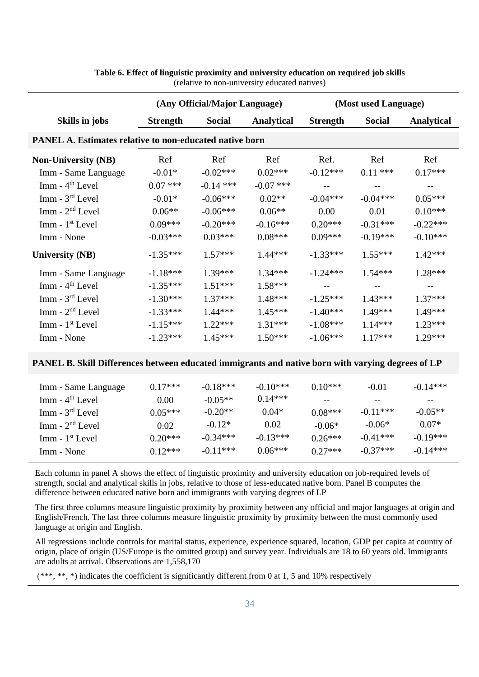|                                                                | (Any Official/Major Language) |             |                   | (Most used Language) |               |                          |  |  |  |
|----------------------------------------------------------------|-------------------------------|-------------|-------------------|----------------------|---------------|--------------------------|--|--|--|
| Skills in jobs                                                 | <b>Strength</b>               | Social      | <b>Analytical</b> | <b>Strength</b>      | <b>Social</b> | <b>Analytical</b>        |  |  |  |
| <b>PANEL A. Estimates relative to non-educated native born</b> |                               |             |                   |                      |               |                          |  |  |  |
| <b>Non-University (NB)</b>                                     | Ref                           | Ref         | Ref               | Ref.                 | Ref           | Ref                      |  |  |  |
| Imm - Same Language                                            | $-0.01*$                      | $-0.02***$  | $0.02***$         | $-0.12***$           | $0.11***$     | $0.17***$                |  |  |  |
| $Imm - 4th Level$                                              | $0.07$ ***                    | $-0.14$ *** | $-0.07$ ***       | $-1$                 | $-$           |                          |  |  |  |
| $Imm - 3rd Level$                                              | $-0.01*$                      | $-0.06***$  | $0.02**$          | $-0.04***$           | $-0.04***$    | $0.05***$                |  |  |  |
| $Imm - 2nd Level$                                              | $0.06**$                      | $-0.06***$  | $0.06**$          | 0.00                 | 0.01          | $0.10***$                |  |  |  |
| Imm - 1 <sup>st</sup> Level                                    | $0.09***$                     | $-0.20***$  | $-0.16***$        | $0.20***$            | $-0.31***$    | $-0.22***$               |  |  |  |
| Imm - None                                                     | $-0.03***$                    | $0.03***$   | $0.08***$         | $0.09***$            | $-0.19***$    | $-0.10***$               |  |  |  |
| <b>University (NB)</b>                                         | $-1.35***$                    | $1.57***$   | $1.44***$         | $-1.33***$           | $1.55***$     | $1.42***$                |  |  |  |
| Imm - Same Language                                            | $-1.18***$                    | $1.39***$   | $1.34***$         | $-1.24***$           | $1.54***$     | $1.28***$                |  |  |  |
| $Imm - 4th Level$                                              | $-1.35***$                    | $1.51***$   | $1.58***$         | $\sim$ $-$           | $-\,-$        | $\overline{\phantom{m}}$ |  |  |  |
| $Imm - 3rd Level$                                              | $-1.30***$                    | $1.37***$   | $1.48***$         | $-1.25***$           | $1.43***$     | $1.37***$                |  |  |  |
| $Imm - 2nd Level$                                              | $-1.33***$                    | $1.44***$   | $1.45***$         | $-1.40***$           | $1.49***$     | 1.49***                  |  |  |  |
| $Imm - 1st Level$                                              | $-1.15***$                    | $1.22***$   | $1.31***$         | $-1.08***$           | $1.14***$     | $1.23***$                |  |  |  |
| Imm - None                                                     | $-1.23***$                    | $1.45***$   | $1.50***$         | $-1.06***$           | $1.17***$     | $1.29***$                |  |  |  |

#### **Table 6. Effect of linguistic proximity and university education on required job skills**  (relative to non-university educated natives)

#### **PANEL B. Skill Differences between educated immigrants and native born with varying degrees of LP**

| Imm - Same Language | $0.17***$ | $-0.18***$ | $-0.10***$ | $0.10***$ | $-0.01$    | $-0.14***$ |
|---------------------|-----------|------------|------------|-----------|------------|------------|
| $Imm - 4th Level$   | 0.00      | $-0.05**$  | $0.14***$  |           |            |            |
| $Imm - 3rd Level$   | $0.05***$ | $-0.20**$  | $0.04*$    | $0.08***$ | $-0.11***$ | $-0.05**$  |
| $Imm - 2nd Level$   | 0.02      | $-0.12*$   | 0.02       | $-0.06*$  | $-0.06*$   | $0.07*$    |
| $Imm - 1st$ Level   | $0.20***$ | $-0.34***$ | $-0.13***$ | $0.26***$ | $-0.41***$ | $-0.19***$ |
| Imm - None          | $0.12***$ | $-0.11***$ | $0.06***$  | $0.27***$ | $-0.37***$ | $-0.14***$ |

Each column in panel A shows the effect of linguistic proximity and university education on job-required levels of strength, social and analytical skills in jobs, relative to those of less-educated native born. Panel B computes the difference between educated native born and immigrants with varying degrees of LP

The first three columns measure linguistic proximity by proximity between any official and major languages at origin and English/French. The last three columns measure linguistic proximity by proximity between the most commonly used language at origin and English.

All regressions include controls for marital status, experience, experience squared, location, GDP per capita at country of origin, place of origin (US/Europe is the omitted group) and survey year. Individuals are 18 to 60 years old. Immigrants are adults at arrival. Observations are 1,558,170

(\*\*\*, \*\*, \*) indicates the coefficient is significantly different from 0 at 1, 5 and 10% respectively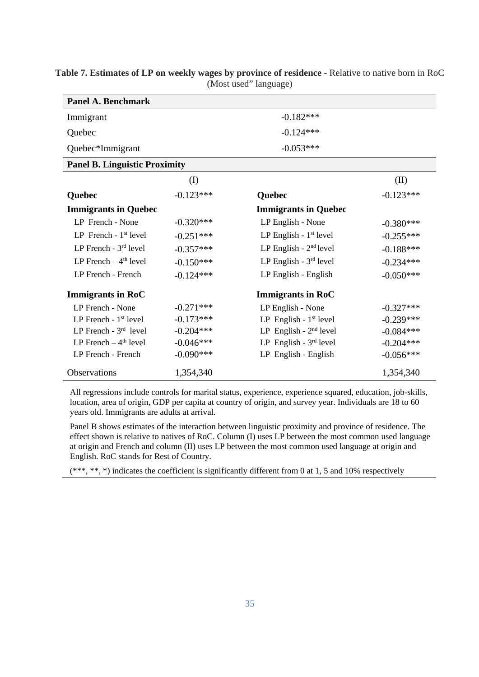| <b>Panel A. Benchmark</b>            |             |                             |             |
|--------------------------------------|-------------|-----------------------------|-------------|
| Immigrant                            |             | $-0.182***$                 |             |
| Quebec                               |             | $-0.124***$                 |             |
| Quebec*Immigrant                     |             | $-0.053***$                 |             |
| <b>Panel B. Linguistic Proximity</b> |             |                             |             |
|                                      | $\rm (I)$   |                             | (II)        |
| Quebec                               | $-0.123***$ | Quebec                      | $-0.123***$ |
| <b>Immigrants in Quebec</b>          |             | <b>Immigrants in Quebec</b> |             |
| LP French - None                     | $-0.320***$ | LP English - None           | $-0.380***$ |
| LP French - $1st$ level              | $-0.251***$ | LP English - $1st$ level    | $-0.255***$ |
| LP French - $3rd$ level              | $-0.357***$ | LP English - $2nd$ level    | $-0.188***$ |
| LP French $-4$ <sup>th</sup> level   | $-0.150***$ | LP English - $3rd$ level    | $-0.234***$ |
| LP French - French                   | $-0.124***$ | LP English - English        | $-0.050***$ |
| <b>Immigrants in RoC</b>             |             | <b>Immigrants in RoC</b>    |             |
| LP French - None                     | $-0.271***$ | LP English - None           | $-0.327***$ |
| LP French - $1st$ level              | $-0.173***$ | LP English - $1st$ level    | $-0.239***$ |
| LP French - $3rd$ level              | $-0.204***$ | LP English - $2nd$ level    | $-0.084***$ |
| LP French $-4th$ level               | $-0.046***$ | LP English - $3rd$ level    | $-0.204***$ |
| LP French - French                   | $-0.090***$ | LP English - English        | $-0.056***$ |
| Observations                         | 1,354,340   |                             | 1,354,340   |

**Table 7. Estimates of LP on weekly wages by province of residence -** Relative to native born in RoC (Most used" language)

All regressions include controls for marital status, experience, experience squared, education, job-skills, location, area of origin, GDP per capita at country of origin, and survey year. Individuals are 18 to 60 years old. Immigrants are adults at arrival.

Panel B shows estimates of the interaction between linguistic proximity and province of residence. The effect shown is relative to natives of RoC. Column (I) uses LP between the most common used language at origin and French and column (II) uses LP between the most common used language at origin and English. RoC stands for Rest of Country.

(\*\*\*, \*\*, \*) indicates the coefficient is significantly different from 0 at 1, 5 and 10% respectively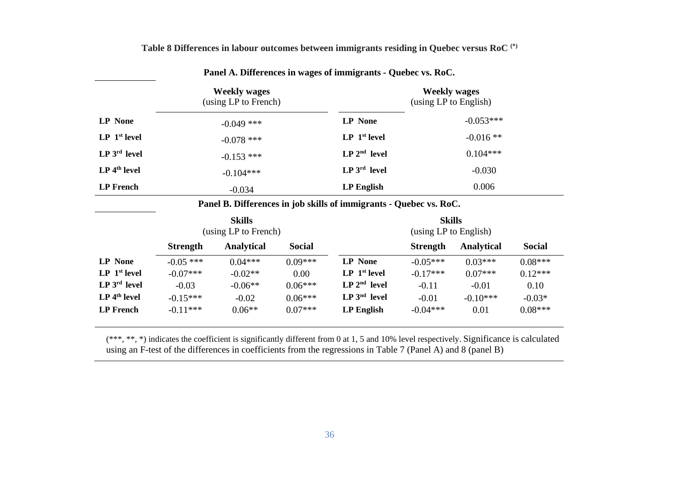| <b>Weekly wages</b><br>(using LP to French) |              |                                     | <b>Weekly wages</b><br>(using LP to English) |  |  |
|---------------------------------------------|--------------|-------------------------------------|----------------------------------------------|--|--|
| <b>LP</b> None                              | $-0.049$ *** | <b>LP</b> None                      | $-0.053***$                                  |  |  |
| LP <sub>1</sub> <sup>st</sup> level         | $-0.078$ *** | LP <sub>1</sub> <sup>st</sup> level | $-0.016**$                                   |  |  |
| $LP 3rd$ level                              | $-0.153$ *** | $LP 2nd$ level                      | $0.104***$                                   |  |  |
| $LP$ 4 <sup>th</sup> level                  | $-0.104***$  | $LP 3rd$ level                      | $-0.030$                                     |  |  |
| <b>LP</b> French                            | $-0.034$     | <b>LP</b> English                   | 0.006                                        |  |  |

**Table 8 Differences in labour outcomes between immigrants residing in Quebec versus RoC (\*)** 

**Panel A. Differences in wages of immigrants - Quebec vs. RoC.** 

**Panel B. Differences in job skills of immigrants - Quebec vs. RoC.**

|                                     | <b>Skills</b><br>(using LP to French) |                   |               |                                     | <b>Skills</b><br>(using LP to English) |            |               |  |
|-------------------------------------|---------------------------------------|-------------------|---------------|-------------------------------------|----------------------------------------|------------|---------------|--|
|                                     | <b>Strength</b>                       | <b>Analytical</b> | <b>Social</b> |                                     | <b>Strength</b>                        | Analytical | <b>Social</b> |  |
| <b>LP</b> None                      | $-0.05$ ***                           | $0.04***$         | $0.09***$     | <b>LP</b> None                      | $-0.05***$                             | $0.03***$  | $0.08***$     |  |
| LP <sub>1</sub> <sup>st</sup> level | $-0.07***$                            | $-0.02**$         | 0.00          | LP <sub>1</sub> <sup>st</sup> level | $-0.17***$                             | $0.07***$  | $0.12***$     |  |
| $LP 3rd$ level                      | $-0.03$                               | $-0.06**$         | $0.06***$     | $LP 2nd$ level                      | $-0.11$                                | $-0.01$    | 0.10          |  |
| $LP$ 4 <sup>th</sup> level          | $-0.15***$                            | $-0.02$           | $0.06***$     | $LP 3nd$ level                      | $-0.01$                                | $-0.10***$ | $-0.03*$      |  |
| <b>LP</b> French                    | $-0.11***$                            | $0.06**$          | $0.07***$     | <b>LP English</b>                   | $-0.04***$                             | 0.01       | $0.08***$     |  |

(\*\*\*, \*\*, \*) indicates the coefficient is significantly different from 0 at 1, 5 and 10% level respectively. Significance is calculated using an F-test of the differences in coefficients from the regressions in Table 7 (Panel A) and 8 (panel B)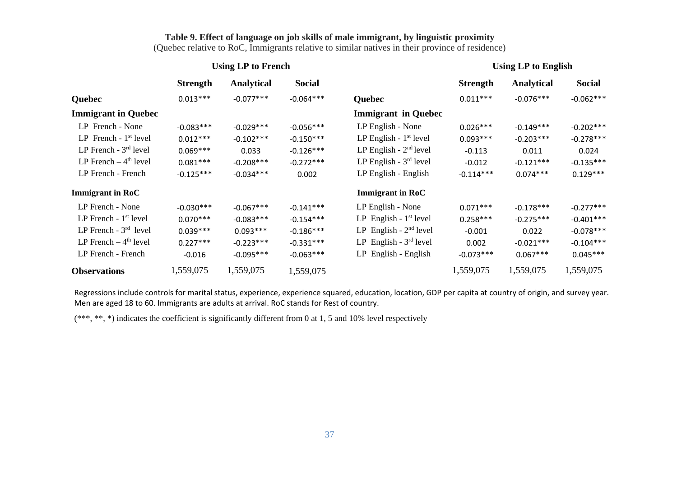#### **Table 9. Effect of language on job skills of male immigrant, by linguistic proximity**

(Quebec relative to RoC, Immigrants relative to similar natives in their province of residence)

#### Using LP to French Using LP to English

|                                    | <b>Strength</b> | <b>Analytical</b> | <b>Social</b> |                            | <b>Strength</b> | <b>Analytical</b> | <b>Social</b> |
|------------------------------------|-----------------|-------------------|---------------|----------------------------|-----------------|-------------------|---------------|
| Quebec                             | $0.013***$      | $-0.077***$       | $-0.064***$   | <b>Quebec</b>              | $0.011***$      | $-0.076***$       | $-0.062***$   |
| <b>Immigrant in Quebec</b>         |                 |                   |               | <b>Immigrant in Quebec</b> |                 |                   |               |
| LP French - None                   | $-0.083***$     | $-0.029***$       | $-0.056***$   | LP English - None          | $0.026***$      | $-0.149***$       | $-0.202***$   |
| LP French - $1st$ level            | $0.012***$      | $-0.102***$       | $-0.150***$   | LP English - $1st$ level   | $0.093***$      | $-0.203***$       | $-0.278***$   |
| LP French $-3rd$ level             | $0.069***$      | 0.033             | $-0.126***$   | LP English - $2nd$ level   | $-0.113$        | 0.011             | 0.024         |
| LP French $-4th$ level             | $0.081***$      | $-0.208***$       | $-0.272***$   | LP English - $3rd$ level   | $-0.012$        | $-0.121***$       | $-0.135***$   |
| LP French - French                 | $-0.125***$     | $-0.034***$       | 0.002         | LP English - English       | $-0.114***$     | $0.074***$        | $0.129***$    |
| <b>Immigrant in RoC</b>            |                 |                   |               | <b>Immigrant in RoC</b>    |                 |                   |               |
| LP French - None                   | $-0.030***$     | $-0.067***$       | $-0.141***$   | LP English - None          | $0.071***$      | $-0.178***$       | $-0.277***$   |
| LP French - $1st$ level            | $0.070***$      | $-0.083***$       | $-0.154***$   | LP English - $1st$ level   | $0.258***$      | $-0.275***$       | $-0.401***$   |
| LP French $-3^{rd}$ level          | $0.039***$      | $0.093***$        | $-0.186***$   | LP English - $2nd$ level   | $-0.001$        | 0.022             | $-0.078***$   |
| LP French $-4$ <sup>th</sup> level | $0.227***$      | $-0.223***$       | $-0.331***$   | LP English - $3rd$ level   | 0.002           | $-0.021***$       | $-0.104***$   |
| LP French - French                 | $-0.016$        | $-0.095***$       | $-0.063***$   | LP English - English       | $-0.073***$     | $0.067***$        | $0.045***$    |
| <b>Observations</b>                | 1,559,075       | 1,559,075         | 1,559,075     |                            | 1,559,075       | 1,559,075         | 1,559,075     |

Regressions include controls for marital status, experience, experience squared, education, location, GDP per capita at country of origin, and survey year. Men are aged 18 to 60. Immigrants are adults at arrival. RoC stands for Rest of country.

(\*\*\*, \*\*, \*) indicates the coefficient is significantly different from 0 at 1, 5 and 10% level respectively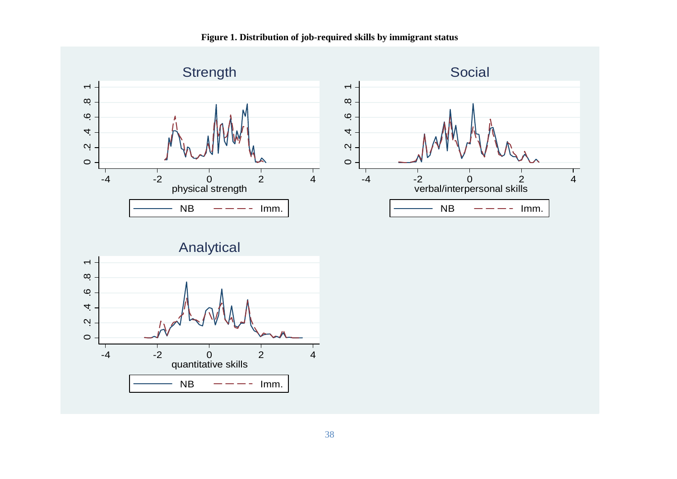

**Figure 1. Distribution of job-required skills by immigrant status** 

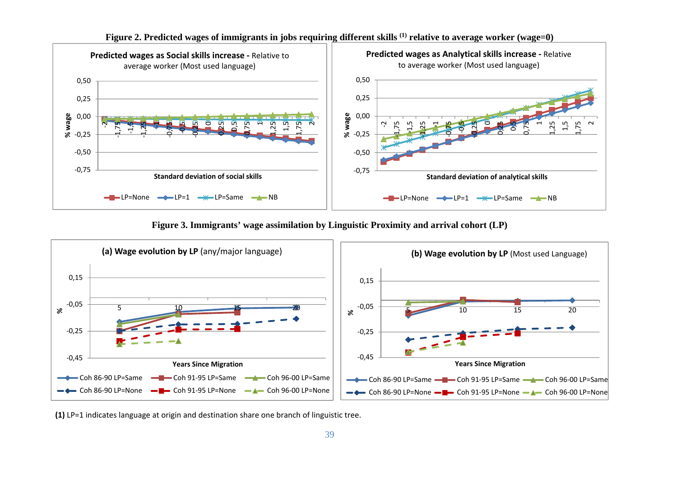

**Figure 2. Predicted wages of immigrants in jobs requiring different skills (1) relative to average worker (wage=0)** 

**Figure 3. Immigrants' wage assimilation by Linguistic Proximity and arrival cohort (LP)** 



**(1)** LP=1 indicates language at origin and destination share one branch of linguistic tree.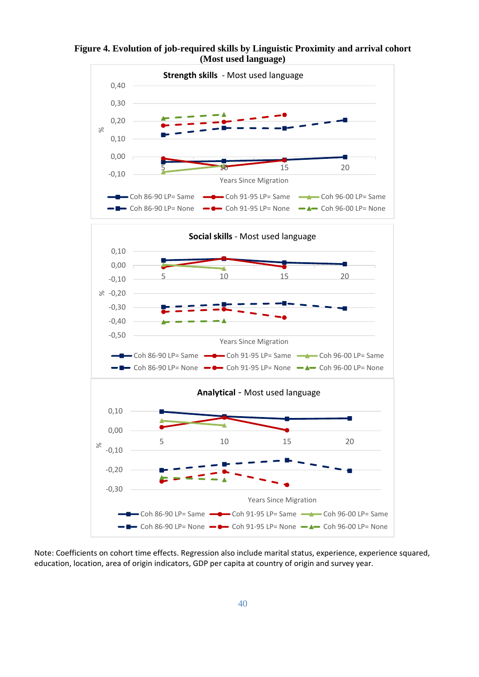



Note: Coefficients on cohort time effects. Regression also include marital status, experience, experience squared, education, location, area of origin indicators, GDP per capita at country of origin and survey year.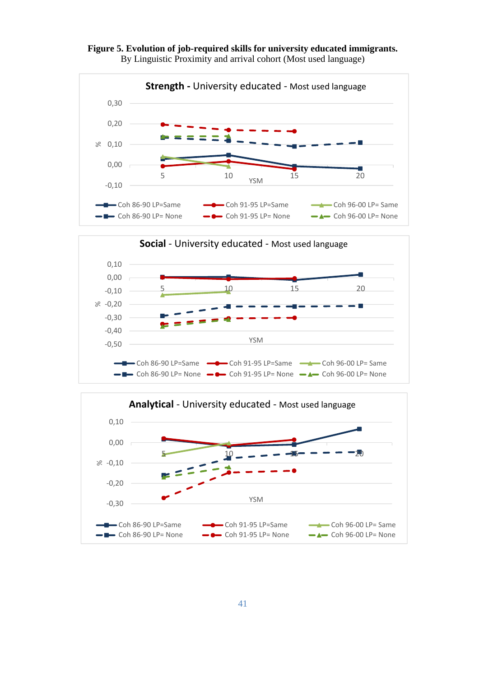



By Linguistic Proximity and arrival cohort (Most used language)



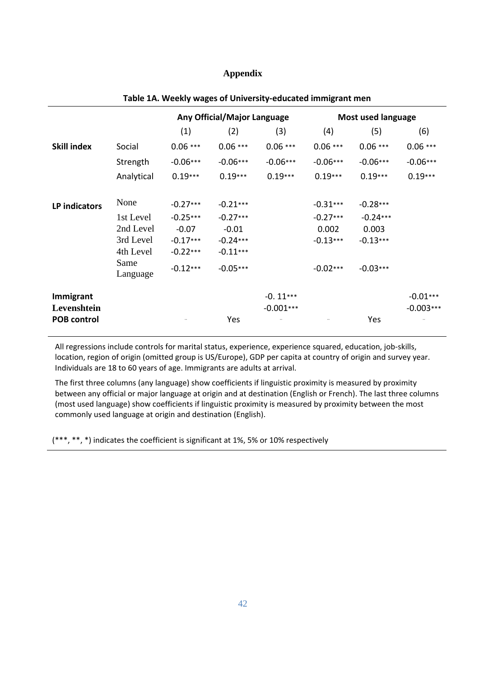#### **Appendix**

|                          |                  | Any Official/Major Language |            | <b>Most used language</b> |                          |            |                           |
|--------------------------|------------------|-----------------------------|------------|---------------------------|--------------------------|------------|---------------------------|
|                          |                  | (1)                         | (2)        | (3)                       | (4)                      | (5)        | (6)                       |
| <b>Skill index</b>       | Social           | $0.06***$                   | $0.06***$  | $0.06***$                 | $0.06***$                | $0.06***$  | $0.06***$                 |
|                          | Strength         | $-0.06***$                  | $-0.06***$ | $-0.06***$                | $-0.06***$               | $-0.06***$ | $-0.06***$                |
|                          | Analytical       | $0.19***$                   | $0.19***$  | $0.19***$                 | $0.19***$                | $0.19***$  | $0.19***$                 |
| LP indicators            | None             | $-0.27***$                  | $-0.21***$ |                           | $-0.31***$               | $-0.28***$ |                           |
|                          | 1st Level        | $-0.25***$                  | $-0.27***$ |                           | $-0.27***$               | $-0.24***$ |                           |
|                          | 2nd Level        | $-0.07$                     | $-0.01$    |                           | 0.002                    | 0.003      |                           |
|                          | 3rd Level        | $-0.17***$                  | $-0.24***$ |                           | $-0.13***$               | $-0.13***$ |                           |
|                          | 4th Level        | $-0.22***$                  | $-0.11***$ |                           |                          |            |                           |
|                          | Same<br>Language | $-0.12***$                  | $-0.05***$ |                           | $-0.02***$               | $-0.03***$ |                           |
| Immigrant<br>Levenshtein |                  |                             |            | $-0.11***$<br>$-0.001***$ |                          |            | $-0.01***$<br>$-0.003***$ |
| <b>POB control</b>       |                  |                             | Yes        |                           | $\overline{\phantom{a}}$ | Yes        |                           |

#### **Table 1A. Weekly wages of University‐educated immigrant men**

All regressions include controls for marital status, experience, experience squared, education, job-skills, location, region of origin (omitted group is US/Europe), GDP per capita at country of origin and survey year. Individuals are 18 to 60 years of age. Immigrants are adults at arrival.

The first three columns (any language) show coefficients if linguistic proximity is measured by proximity between any official or major language at origin and at destination (English or French). The last three columns (most used language) show coefficients if linguistic proximity is measured by proximity between the most commonly used language at origin and destination (English).

(\*\*\*, \*\*, \*) indicates the coefficient is significant at 1%, 5% or 10% respectively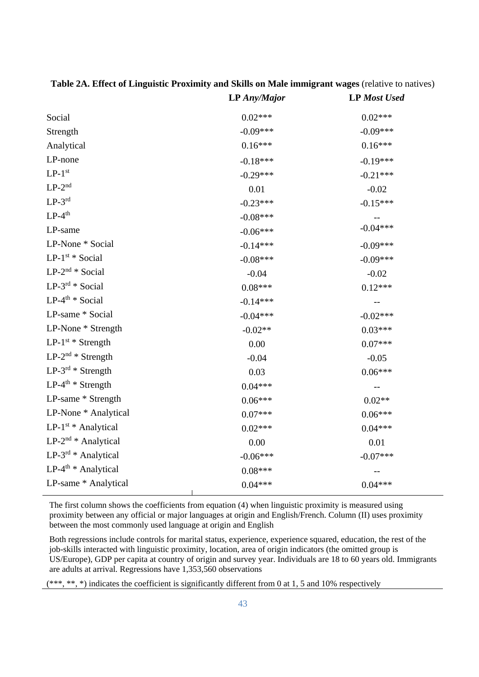|                                 | <b>LP</b> Any/Major | <b>LP</b> Most Used |
|---------------------------------|---------------------|---------------------|
| Social                          | $0.02***$           | $0.02***$           |
| Strength                        | $-0.09***$          | $-0.09***$          |
| Analytical                      | $0.16***$           | $0.16***$           |
| LP-none                         | $-0.18***$          | $-0.19***$          |
| $LP-1^{st}$                     | $-0.29***$          | $-0.21***$          |
| $LP-2^{nd}$                     | 0.01                | $-0.02$             |
| $LP-3^{rd}$                     | $-0.23***$          | $-0.15***$          |
| $LP-4th$                        | $-0.08***$          |                     |
| LP-same                         | $-0.06***$          | $-0.04***$          |
| LP-None * Social                | $-0.14***$          | $-0.09***$          |
| $LP-1^{st} * Social$            | $-0.08***$          | $-0.09***$          |
| $LP-2^{nd} * Social$            | $-0.04$             | $-0.02$             |
| $LP-3^{rd} * Social$            | $0.08***$           | $0.12***$           |
| $LP-4^{th}$ * Social            | $-0.14***$          |                     |
| LP-same * Social                | $-0.04***$          | $-0.02***$          |
| LP-None * Strength              | $-0.02**$           | $0.03***$           |
| LP-1st * Strength               | 0.00                | $0.07***$           |
| $LP-2^{nd} *$ Strength          | $-0.04$             | $-0.05$             |
| $LP-3^{rd} *$ Strength          | 0.03                | $0.06***$           |
| $LP-4^{th}$ * Strength          | $0.04***$           |                     |
| LP-same * Strength              | $0.06***$           | $0.02**$            |
| LP-None * Analytical            | $0.07***$           | $0.06***$           |
| LP-1 <sup>st</sup> * Analytical | $0.02***$           | $0.04***$           |
| $LP-2^{nd} * Analytical$        | 0.00                | 0.01                |
| LP-3rd * Analytical             | $-0.06***$          | $-0.07***$          |
| LP-4 <sup>th</sup> * Analytical | $0.08***$           |                     |
| LP-same * Analytical            | $0.04***$           | $0.04***$           |
|                                 |                     |                     |

**Table 2A. Effect of Linguistic Proximity and Skills on Male immigrant wages** (relative to natives)

The first column shows the coefficients from equation (4) when linguistic proximity is measured using proximity between any official or major languages at origin and English/French. Column (II) uses proximity between the most commonly used language at origin and English

Both regressions include controls for marital status, experience, experience squared, education, the rest of the job-skills interacted with linguistic proximity, location, area of origin indicators (the omitted group is US/Europe), GDP per capita at country of origin and survey year. Individuals are 18 to 60 years old. Immigrants are adults at arrival. Regressions have 1,353,560 observations

 $(***, **, *)$  indicates the coefficient is significantly different from 0 at 1, 5 and 10% respectively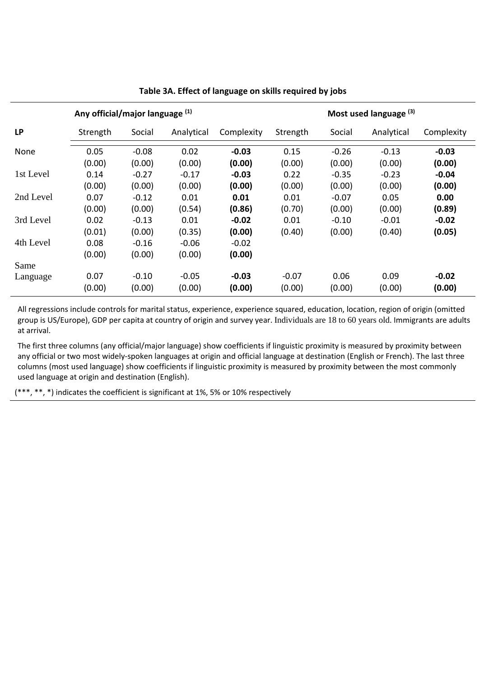| Any official/major language (1) |          |         |            | Most used language (3) |          |         |            |            |
|---------------------------------|----------|---------|------------|------------------------|----------|---------|------------|------------|
| <b>LP</b>                       | Strength | Social  | Analytical | Complexity             | Strength | Social  | Analytical | Complexity |
| None                            | 0.05     | $-0.08$ | 0.02       | $-0.03$                | 0.15     | $-0.26$ | $-0.13$    | $-0.03$    |
|                                 | (0.00)   | (0.00)  | (0.00)     | (0.00)                 | (0.00)   | (0.00)  | (0.00)     | (0.00)     |
| 1st Level                       | 0.14     | $-0.27$ | $-0.17$    | $-0.03$                | 0.22     | $-0.35$ | $-0.23$    | $-0.04$    |
|                                 | (0.00)   | (0.00)  | (0.00)     | (0.00)                 | (0.00)   | (0.00)  | (0.00)     | (0.00)     |
| 2nd Level                       | 0.07     | $-0.12$ | 0.01       | 0.01                   | 0.01     | $-0.07$ | 0.05       | 0.00       |
|                                 | (0.00)   | (0.00)  | (0.54)     | (0.86)                 | (0.70)   | (0.00)  | (0.00)     | (0.89)     |
| 3rd Level                       | 0.02     | $-0.13$ | 0.01       | $-0.02$                | 0.01     | $-0.10$ | $-0.01$    | $-0.02$    |
|                                 | (0.01)   | (0.00)  | (0.35)     | (0.00)                 | (0.40)   | (0.00)  | (0.40)     | (0.05)     |
| 4th Level                       | 0.08     | $-0.16$ | $-0.06$    | $-0.02$                |          |         |            |            |
|                                 | (0.00)   | (0.00)  | (0.00)     | (0.00)                 |          |         |            |            |
| Same                            |          |         |            |                        |          |         |            |            |
| Language                        | 0.07     | $-0.10$ | $-0.05$    | $-0.03$                | $-0.07$  | 0.06    | 0.09       | $-0.02$    |
|                                 | (0.00)   | (0.00)  | (0.00)     | (0.00)                 | (0.00)   | (0.00)  | (0.00)     | (0.00)     |

#### **Table 3A. Effect of language on skills required by jobs**

All regressions include controls for marital status, experience, experience squared, education, location, region of origin (omitted group is US/Europe), GDP per capita at country of origin and survey year. Individuals are 18 to 60 years old. Immigrants are adults at arrival.

The first three columns (any official/major language) show coefficients if linguistic proximity is measured by proximity between any official or two most widely-spoken languages at origin and official language at destination (English or French). The last three columns (most used language) show coefficients if linguistic proximity is measured by proximity between the most commonly used language at origin and destination (English).

(\*\*\*, \*\*, \*) indicates the coefficient is significant at 1%, 5% or 10% respectively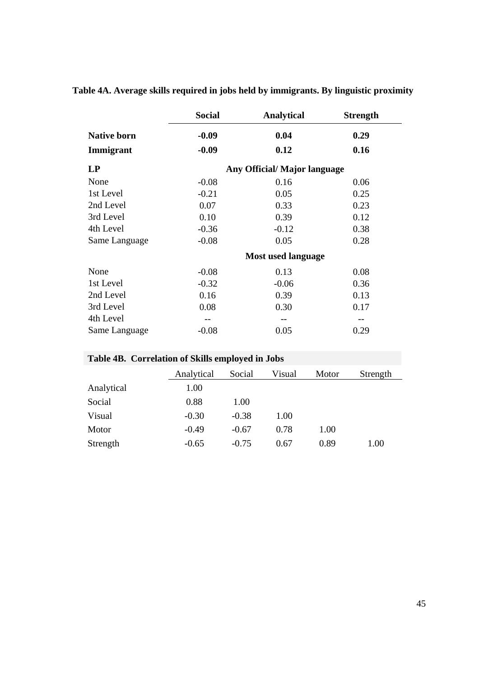|                    | <b>Social</b> | <b>Analytical</b>           | <b>Strength</b> |
|--------------------|---------------|-----------------------------|-----------------|
| <b>Native born</b> | $-0.09$       | 0.04                        | 0.29            |
| Immigrant          | $-0.09$       | 0.12                        | 0.16            |
| LP                 |               | Any Official/Major language |                 |
| None               | $-0.08$       | 0.16                        | 0.06            |
| 1st Level          | $-0.21$       | 0.05                        | 0.25            |
| 2nd Level          | 0.07          | 0.33                        | 0.23            |
| 3rd Level          | 0.10          | 0.39                        | 0.12            |
| 4th Level          | $-0.36$       | $-0.12$                     | 0.38            |
| Same Language      | $-0.08$       | 0.05                        | 0.28            |
|                    |               | <b>Most used language</b>   |                 |
| None               | $-0.08$       | 0.13                        | 0.08            |
| 1st Level          | $-0.32$       | $-0.06$                     | 0.36            |
| 2nd Level          | 0.16          | 0.39                        | 0.13            |
| 3rd Level          | 0.08          | 0.30                        | 0.17            |
| 4th Level          |               |                             |                 |
| Same Language      | $-0.08$       | 0.05                        | 0.29            |

### **Table 4A. Average skills required in jobs held by immigrants. By linguistic proximity**

| Table 4B. Correlation of Skills employed in Jobs |            |         |        |       |          |  |  |  |
|--------------------------------------------------|------------|---------|--------|-------|----------|--|--|--|
|                                                  | Analytical | Social  | Visual | Motor | Strength |  |  |  |
| Analytical                                       | 1.00       |         |        |       |          |  |  |  |
| Social                                           | 0.88       | 1.00    |        |       |          |  |  |  |
| Visual                                           | $-0.30$    | $-0.38$ | 1.00   |       |          |  |  |  |
| Motor                                            | $-0.49$    | $-0.67$ | 0.78   | 1.00  |          |  |  |  |
| Strength                                         | $-0.65$    | $-0.75$ | 0.67   | 0.89  | 1.00     |  |  |  |